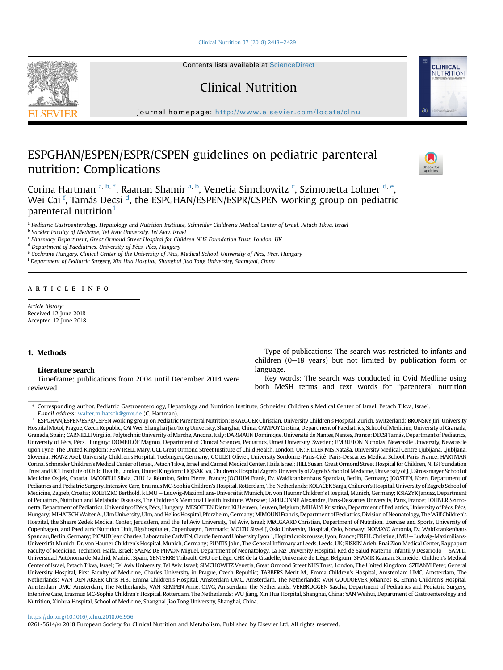[Clinical Nutrition 37 \(2018\) 2418](https://doi.org/10.1016/j.clnu.2018.06.956)-[2429](https://doi.org/10.1016/j.clnu.2018.06.956)

Contents lists available at ScienceDirect

# Clinical Nutrition

journal homepage: <http://www.elsevier.com/locate/clnu>

# ESPGHAN/ESPEN/ESPR/CSPEN guidelines on pediatric parenteral nutrition: Complications

Corina Hartman <sup>a, b,</sup> \*, Raanan Shamir <sup>a, b</sup>, Venetia Simchowitz <sup>c</sup>, Szimonetta Lohner <sup>d, e</sup>, Wei Cai <sup>f</sup>, Tamás Decsi <sup>d</sup>, the ESPGHAN/ESPEN/ESPR/CSPEN working group on pediatric parenteral nutrition<sup>1</sup>

a Pediatric Gastroenterology, Hepatology and Nutrition Institute, Schneider Children's Medical Center of Israel, Petach Tikva, Israel

**b** Sackler Faculty of Medicine, Tel Aviv University, Tel Aviv, Israel <sup>c</sup> Pharmacy Department, Great Ormond Street Hospital for Children NHS Foundation Trust, London, UK

<sup>d</sup> Department of Paediatrics, University of Pécs, Pécs, Hungary

e Cochrane Hungary, Clinical Center of the University of Pécs, Medical School, University of Pécs, Pécs, Hungary

<sup>f</sup> Department of Pediatric Surgery, Xin Hua Hospital, Shanghai Jiao Tong University, Shanghai, China

# article info

Article history: Received 12 June 2018 Accepted 12 June 2018

#### 1. Methods

#### Literature search

Timeframe: publications from 2004 until December 2014 were reviewed

Type of publications: The search was restricted to infants and children  $(0-18$  years) but not limited by publication form or language.

Key words: The search was conducted in Ovid Medline using both MeSH terms and text words for "parenteral nutrition

\* Corresponding author. Pediatric Gastroenterology, Hepatology and Nutrition Institute, Schneider Children's Medical Center of Israel, Petach Tikva, Israel. E-mail address: [walter.mihatsch@gmx.de](mailto:walter.mihatsch@gmx.de) (C. Hartman).

<sup>1</sup> ESPGHAN/ESPEN/ESPR/CSPEN working group on Pediatric Parenteral Nutrition: BRAEGGER Christian, University Children's Hospital, Zurich, Switzerland; BRONSKY Jiri, University Hospital Motol, Prague, Czech Republic; CAIWei, Shanghai Jiao Tong University, Shanghai, China; CAMPOY Cristina, Department of Paediatrics, School of Medicine, University of Granada, Granada, Spain; CARNIELLI Virgilio, Polytechnic University of Marche, Ancona, Italy; DARMAUN Dominique, Université de Nantes, Nantes, France; DECSI Tamás, Department of Pediatrics, University of Pécs, Pécs, Hungary; DOMELLÖF Magnus, Department of Clinical Sciences, Pediatrics, Umeå University, Sweden; EMBLETON Nicholas, Newcastle University, Newcastle upon Tyne, The United Kingdom; FEWTRELL Mary, UCL Great Ormond Street Institute of Child Health, London, UK; FIDLER MIS Nataša, University Medical Centre Ljubljana, Ljubljana, Slovenia; FRANZ Axel, University Children's Hospital, Tuebingen, Germany; GOULET Olivier, University Sordonne-Paris-Cite; Paris-Descartes Medical School, Paris, France; HARTMAN Corina, Schneider Children's Medical Center of Israel, Petach Tikva, Israel and Carmel Medical Center, Haifa Israel; HILL Susan, Great Ormond Street Hospital for Children, NHS Foundation Trust and UCL Institute of Child Health, London, United Kingdom; HOJSAK Iva, Children's Hospital Zagreb, University of Zagreb School of Medicine, University of J. J. Strossmayer School of Medicine Osijek, Croatia; IACOBELLI Silvia, CHU La Reunion, Saint Pierre, France; JOCHUM Frank, Ev. Waldkrankenhaus Spandau, Berlin, Germany; JOOSTEN, Koen, Department of Pediatrics and Pediatric Surgery, Intensive Care, Erasmus MC-Sophia Children's Hospital, Rotterdam, The Netherlands; KOLAČEK Sanja, Children's Hospital, University of Zagreb School of Medicine, Zagreb, Croatia; KOLETZKO Berthold, k LMU – Ludwig-Maximilians-Universität Munich, Dr. von Hauner Children's Hospital, Munich, Germany; KSIAZYK Janusz, Department of Pediatrics, Nutrition and Metabolic Diseases, The Children's Memorial Health Institute. Warsaw; LAPILLONNE Alexandre, Paris-Descartes University, Paris, France; LOHNER Szimonetta, Department of Pediatrics, University of Pécs, Pécs, Hungary; MESOTTEN Dieter, KU Leuven, Leuven, Belgium; MIHÁLYI Krisztina, Department of Pediatrics, University of Pécs, Pécs, Hungary; MIHATSCH Walter A., Ulm University, Ulm, and Helios Hospital, Pforzheim, Germany; MIMOUNI Francis, Department of Pediatrics, Division of Neonatology, The Wilf Children's Hospital, the Shaare Zedek Medical Center, Jerusalem, and the Tel Aviv University, Tel Aviv, Israel; MØLGAARD Christian, Department of Nutrition, Exercise and Sports, University of Copenhagen, and Paediatric Nutrition Unit, Rigshospitalet, Copenhagen, Denmark; MOLTU Sissel J, Oslo University Hospital, Oslo, Norway; NOMAYO Antonia, Ev. Waldkrankenhaus Spandau, Berlin, Germany; PICAUD Jean Charles, Laboratoire CarMEN, Claude Bernard University Lyon 1, Hopital croix rousse, Lyon, France; PRELL Christine, LMU - Ludwig-Maximilians-Universität Munich, Dr. von Hauner Children's Hospital, Munich, Germany; PUNTIS John, The General Infirmary at Leeds, Leeds, UK; RISKIN Arieh, Bnai Zion Medical Center, Rappaport Faculty of Medicine, Technion, Haifa, Israel; SAENZ DE PIPAON Miguel, Department of Neonatology, La Paz University Hospital, Red de Salud Materno Infantil y Desarrollo - SAMID, Universidad Autónoma de Madrid, Madrid, Spain; SENTERRE Thibault, CHU de Liège, CHR de la Citadelle, Université de Liège, Belgium; SHAMIR Raanan, Schneider Children's Medical Center of Israel, Petach Tikva, Israel; Tel Aviv University, Tel Aviv, Israel; SIMCHOWITZ Venetia, Great Ormond Street NHS Trust, London, The United Kingdom; SZITANYI Peter, General University Hospital, First Faculty of Medicine, Charles University in Prague, Czech Republic; TABBERS Merit M., Emma Children's Hospital, Amsterdam UMC, Amsterdam, The Netherlands; VAN DEN AKKER Chris H.B., Emma Children's Hospital, Amsterdam UMC, Amsterdam, The Netherlands; VAN GOUDOEVER Johannes B., Emma Children's Hospital, Amsterdam UMC, Amsterdam, The Netherlands; VAN KEMPEN Anne, OLVG, Amsterdam, the Netherlands; VERBRUGGEN Sascha, Department of Pediatrics and Pediatric Surgery, Intensive Care, Erasmus MC-Sophia Children's Hospital, Rotterdam, The Netherlands; WU Jiang, Xin Hua Hospital, Shanghai, China; YAN Weihui, Department of Gastroenterology and Nutrition, Xinhua Hospital, School of Medicine, Shanghai Jiao Tong University, Shanghai, China.

#### <https://doi.org/10.1016/j.clnu.2018.06.956>

0261-5614/© 2018 European Society for Clinical Nutrition and Metabolism. Published by Elsevier Ltd. All rights reserved.







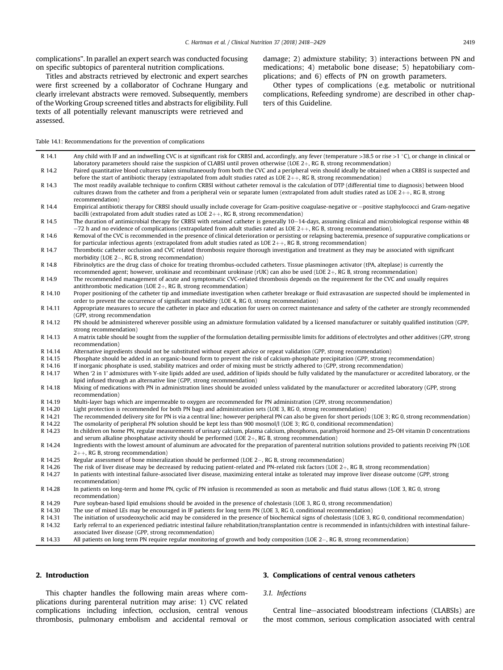complications". In parallel an expert search was conducted focusing on specific subtopics of parenteral nutrition complications.

Titles and abstracts retrieved by electronic and expert searches were first screened by a collaborator of Cochrane Hungary and clearly irrelevant abstracts were removed. Subsequently, members of the Working Group screened titles and abstracts for eligibility. Full texts of all potentially relevant manuscripts were retrieved and assessed.

damage; 2) admixture stability; 3) interactions between PN and medications; 4) metabolic bone disease; 5) hepatobiliary complications; and 6) effects of PN on growth parameters.

Other types of complications (e.g. metabolic or nutritional complications, Refeeding syndrome) are described in other chapters of this Guideline.

#### Table 14.1: Recommendations for the prevention of complications

| R 14.1  | Any child with IF and an indwelling CVC is at significant risk for CRBSI and, accordingly, any fever (temperature >38.5 or rise >1 °C), or change in clinical or<br>laboratory parameters should raise the suspicion of CLABSI until proven otherwise (LOE $2+$ , RG B, strong recommendation) |
|---------|------------------------------------------------------------------------------------------------------------------------------------------------------------------------------------------------------------------------------------------------------------------------------------------------|
| R 14.2  | Paired quantitative blood cultures taken simultaneously from both the CVC and a peripheral vein should ideally be obtained when a CRBSI is suspected and<br>before the start of antibiotic therapy (extrapolated from adult studies rated as LOE $2++$ , RG B, strong recommendation)          |
| R 14.3  | The most readily available technique to confirm CRBSI without catheter removal is the calculation of DTP (differential time to diagnosis) between blood                                                                                                                                        |
|         | cultures drawn from the catheter and from a peripheral vein or separate lumen (extrapolated from adult studies rated as LOE $2++$ , RG B, strong<br>recommendation)                                                                                                                            |
| R 14.4  | Empirical antibiotic therapy for CRBSI should usually include coverage for Gram-positive coagulase-negative or -positive staphylococci and Gram-negative<br>bacilli (extrapolated from adult studies rated as LOE $2++$ , RG B, strong recommendation)                                         |
| R 14.5  | The duration of antimicrobial therapy for CRBSI with retained catheter is generally 10–14-days, assuming clinical and microbiological response within 48<br>$-72$ h and no evidence of complications (extrapolated from adult studies rated as LOE $2++$ , RG B, strong recommendation).       |
| R 14.6  | Removal of the CVC is recommended in the presence of clinical deterioration or persisting or relapsing bacteremia, presence of suppurative complications or<br>for particular infectious agents (extrapolated from adult studies rated as LOE $2++$ , RG B, strong recommendation)             |
| R 14.7  | Thrombotic catheter occlusion and CVC related thrombosis require thorough investigation and treatment as they may be associated with significant                                                                                                                                               |
|         | morbidity (LOE 2–, RG B, strong recommendation)                                                                                                                                                                                                                                                |
| R 14.8  | Fibrinolytics are the drug class of choice for treating thrombus-occluded catheters. Tissue plasminogen activator (tPA, alteplase) is currently the                                                                                                                                            |
|         | recommended agent; however, urokinase and recombinant urokinase (rUK) can also be used (LOE $2+$ , RG B, strong recommendation)                                                                                                                                                                |
| R 14.9  | The recommended management of acute and symptomatic CVC-related thrombosis depends on the requirement for the CVC and usually requires                                                                                                                                                         |
|         | antithrombotic medication (LOE $2+$ , RG B, strong recommendation)                                                                                                                                                                                                                             |
| R 14.10 | Proper positioning of the catheter tip and immediate investigation when catheter breakage or fluid extravasation are suspected should be implemented in<br>order to prevent the occurrence of significant morbidity (LOE 4, RG 0, strong recommendation)                                       |
| R 14.11 | Appropriate measures to secure the catheter in place and education for users on correct maintenance and safety of the catheter are strongly recommended                                                                                                                                        |
|         | (GPP, strong recommendation                                                                                                                                                                                                                                                                    |
| R 14.12 | PN should be administered wherever possible using an admixture formulation validated by a licensed manufacturer or suitably qualified institution (GPP,                                                                                                                                        |
|         | strong recommendation)                                                                                                                                                                                                                                                                         |
| R 14.13 | A matrix table should be sought from the supplier of the formulation detailing permissible limits for additions of electrolytes and other additives (GPP, strong<br>recommendation)                                                                                                            |
| R 14.14 | Alternative ingredients should not be substituted without expert advice or repeat validation (GPP, strong recommendation)                                                                                                                                                                      |
| R 14.15 | Phosphate should be added in an organic-bound form to prevent the risk of calcium-phosphate precipitation (GPP, strong recommendation)                                                                                                                                                         |
| R 14.16 | If inorganic phosphate is used, stability matrices and order of mixing must be strictly adhered to (GPP, strong recommendation)                                                                                                                                                                |
| R 14.17 | When '2 in 1' admixtures with Y-site lipids added are used, addition of lipids should be fully validated by the manufacturer or accredited laboratory, or the<br>lipid infused through an alternative line (GPP, strong recommendation)                                                        |
| R 14.18 | Mixing of medications with PN in administration lines should be avoided unless validated by the manufacturer or accredited laboratory (GPP, strong<br>recommendation)                                                                                                                          |
| R 14.19 | Multi-layer bags which are impermeable to oxygen are recommended for PN administration (GPP, strong recommendation)                                                                                                                                                                            |
| R 14.20 | Light protection is recommended for both PN bags and administration sets (LOE 3, RG 0, strong recommendation)                                                                                                                                                                                  |
| R 14.21 | The recommended delivery site for PN is via a central line; however peripheral PN can also be given for short periods (LOE 3; RG 0, strong recommendation)                                                                                                                                     |
| R 14.22 | The osmolarity of peripheral PN solution should be kept less than 900 mosmol/l (LOE 3; RG 0, conditional recommendation)                                                                                                                                                                       |
| R 14.23 | In children on home PN, regular measurements of urinary calcium, plasma calcium, phosphorus, parathyroid hormone and 25-OH vitamin D concentrations                                                                                                                                            |
|         | and serum alkaline phosphatase activity should be performed (LOE $2+$ , RG B, strong recommendation)                                                                                                                                                                                           |
| R 14.24 | Ingredients with the lowest amount of aluminum are advocated for the preparation of parenteral nutrition solutions provided to patients receiving PN (LOE<br>$2++$ , RG B, strong recommendation)                                                                                              |
| R 14.25 | Regular assessment of bone mineralization should be performed (LOE $2-$ , RG B, strong recommendation)                                                                                                                                                                                         |
| R 14.26 | The risk of liver disease may be decreased by reducing patient-related and PN-related risk factors (LOE $2+$ , RG B, strong recommendation)                                                                                                                                                    |
| R 14.27 | In patients with intestinal failure-associated liver disease, maximizing enteral intake as tolerated may improve liver disease outcome (GPP, strong<br>recommendation)                                                                                                                         |
| R 14.28 | In patients on long-term and home PN, cyclic of PN infusion is recommended as soon as metabolic and fluid status allows (LOE 3, RG 0, strong<br>recommendation)                                                                                                                                |
| R 14.29 | Pure soybean-based lipid emulsions should be avoided in the presence of cholestasis (LOE 3, RG 0, strong recommendation)                                                                                                                                                                       |
| R 14.30 | The use of mixed LEs may be encouraged in IF patients for long term PN (LOE 3, RG 0, conditional recommendation)                                                                                                                                                                               |
| R 14.31 | The initiation of ursodeoxycholic acid may be considered in the presence of biochemical signs of cholestasis (LOE 3, RG 0, conditional recommendation)                                                                                                                                         |
| R 14.32 | Early referral to an experienced pediatric intestinal failure rehabilitation/transplantation centre is recommended in infants/children with intestinal failure-<br>associated liver disease (GPP, strong recommendation)                                                                       |
| R 14.33 | All patients on long term PN require regular monitoring of growth and body composition (LOE 2–, RG B, strong recommendation)                                                                                                                                                                   |
|         |                                                                                                                                                                                                                                                                                                |

# 2. Introduction

# 3. Complications of central venous catheters

This chapter handles the following main areas where complications during parenteral nutrition may arise: 1) CVC related complications including infection, occlusion, central venous thrombosis, pulmonary embolism and accidental removal or

# 3.1. Infections

Central line-associated bloodstream infections (CLABSIs) are the most common, serious complication associated with central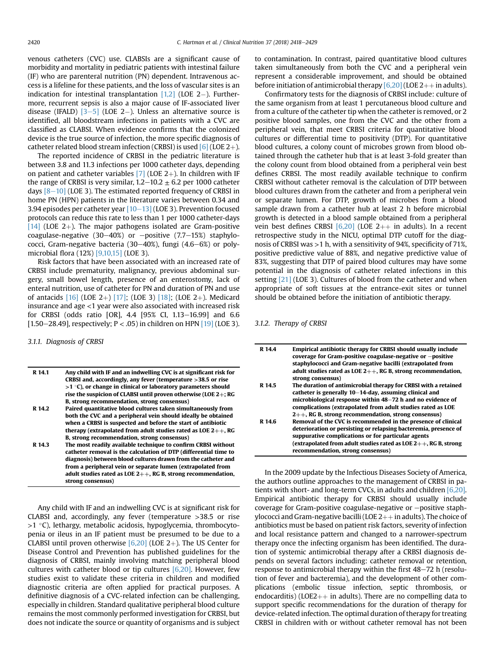venous catheters (CVC) use. CLABSIs are a significant cause of morbidity and mortality in pediatric patients with intestinal failure (IF) who are parenteral nutrition (PN) dependent. Intravenous access is a lifeline for these patients, and the loss of vascular sites is an indication for intestinal transplantation  $[1,2]$  (LOE 2-). Furthermore, recurrent sepsis is also a major cause of IF-associated liver disease (IFALD)  $[3-5]$  $[3-5]$  $[3-5]$  (LOE 2-). Unless an alternative source is identified, all bloodstream infections in patients with a CVC are classified as CLABSI. When evidence confirms that the colonized device is the true source of infection, the more specific diagnosis of catheter related blood stream infection (CRBSI) is used  $[6]$  (LOE 2+).

The reported incidence of CRBSI in the pediatric literature is between 3.8 and 11.3 infections per 1000 catheter days, depending on patient and catheter variables  $[7]$  (LOE 2+). In children with IF the range of CRBSI is very similar,  $1.2-10.2 \pm 6.2$  per 1000 catheter days  $[8-10]$  $[8-10]$  $[8-10]$  (LOE 3). The estimated reported frequency of CRBSI in home PN (HPN) patients in the literature varies between 0.34 and 3.94 episodes per catheter year  $[10-13]$  $[10-13]$  $[10-13]$  (LOE 3). Prevention focused protocols can reduce this rate to less than 1 per 1000 catheter-days [\[14\]](#page-9-0) (LOE 2+). The major pathogens isolated are Gram-positive coagulase-negative (30-40%) or -positive (7.7-15%) staphylococci, Gram-negative bacteria (30 $-40\%$ ), fungi (4.6 $-6\%$ ) or polymicrobial flora (12%) [\[9,10,15\]](#page-9-0) (LOE 3).

Risk factors that have been associated with an increased rate of CRBSI include prematurity, malignancy, previous abdominal surgery, small bowel length, presence of an enterostomy, lack of enteral nutrition, use of catheter for PN and duration of PN and use of antacids  $[16]$  (LOE 2+)  $[17]$ ; (LOE 3)  $[18]$ ; (LOE 2+). Medicard insurance and age <1 year were also associated with increased risk for CRBSI (odds ratio [OR], 4.4 [95% CI, 1.13-16.99] and 6.6 [1.50–28.49], respectively;  $P < .05$ ) in children on HPN [\[19\]](#page-9-0) (LOE 3).

3.1.1. Diagnosis of CRBSI

| R 14.1 | Any child with IF and an indwelling CVC is at significant risk for<br>CRBSI and, accordingly, any fever (temperature >38.5 or rise<br>$>1$ °C), or change in clinical or laboratory parameters should<br>rise the suspicion of CLABSI until proven otherwise (LOE $2+$ ; RG<br>B, strong recommendation, strong consensus)                                |
|--------|-----------------------------------------------------------------------------------------------------------------------------------------------------------------------------------------------------------------------------------------------------------------------------------------------------------------------------------------------------------|
| R 14.2 | Paired quantitative blood cultures taken simultaneously from<br>both the CVC and a peripheral vein should ideally be obtained<br>when a CRBSI is suspected and before the start of antibiotic<br>therapy (extrapolated from adult studies rated as LOE $2++$ , RG<br>B, strong recommendation, strong consensus)                                          |
| R 14.3 | The most readily available technique to confirm CRBSI without<br>catheter removal is the calculation of DTP (differential time to<br>diagnosis) between blood cultures drawn from the catheter and<br>from a peripheral vein or separate lumen (extrapolated from<br>adult studies rated as LOE $2++$ , RG B, strong recommendation,<br>strong consensus) |

Any child with IF and an indwelling CVC is at significant risk for CLABSI and, accordingly, any fever (temperature >38.5 or rise  $>1$  °C), lethargy, metabolic acidosis, hypoglycemia, thrombocytopenia or ileus in an IF patient must be presumed to be due to a CLABSI until proven otherwise  $[6,20]$  (LOE 2+). The US Center for Disease Control and Prevention has published guidelines for the diagnosis of CRBSI, mainly involving matching peripheral blood cultures with catheter blood or tip cultures  $[6,20]$ . However, few studies exist to validate these criteria in children and modified diagnostic criteria are often applied for practical purposes. A definitive diagnosis of a CVC-related infection can be challenging, especially in children. Standard qualitative peripheral blood culture remains the most commonly performed investigation for CRBSI, but does not indicate the source or quantity of organisms and is subject to contamination. In contrast, paired quantitative blood cultures taken simultaneously from both the CVC and a peripheral vein represent a considerable improvement, and should be obtained before initiation of antimicrobial therapy  $[6,20]$  (LOE 2++ in adults).

Confirmatory tests for the diagnosis of CRBSI include: culture of the same organism from at least 1 percutaneous blood culture and from a culture of the catheter tip when the catheter is removed, or 2 positive blood samples, one from the CVC and the other from a peripheral vein, that meet CRBSI criteria for quantitative blood cultures or differential time to positivity (DTP). For quantitative blood cultures, a colony count of microbes grown from blood obtained through the catheter hub that is at least 3-fold greater than the colony count from blood obtained from a peripheral vein best defines CRBSI. The most readily available technique to confirm CRBSI without catheter removal is the calculation of DTP between blood cultures drawn from the catheter and from a peripheral vein or separate lumen. For DTP, growth of microbes from a blood sample drawn from a catheter hub at least 2 h before microbial growth is detected in a blood sample obtained from a peripheral vein best defines CRBSI  $[6,20]$  (LOE 2++ in adults). In a recent retrospective study in the NICU, optimal DTP cutoff for the diagnosis of CRBSI was >1 h, with a sensitivity of 94%, specificity of 71%, positive predictive value of 88%, and negative predictive value of 83%, suggesting that DTP of paired blood cultures may have some potential in the diagnosis of catheter related infections in this setting [\[21\]](#page-9-0) (LOE 3). Cultures of blood from the catheter and when appropriate of soft tissues at the entrance-exit sites or tunnel should be obtained before the initiation of antibiotic therapy.

3.1.2. Therapy of CRBSI

| R 14.4 | Empirical antibiotic therapy for CRBSI should usually include<br>coverage for Gram-positive coagulase-negative or -positive<br>staphylococci and Gram-negative bacilli (extrapolated from<br>adult studies rated as LOE $2++$ , RG B, strong recommendation, |
|--------|--------------------------------------------------------------------------------------------------------------------------------------------------------------------------------------------------------------------------------------------------------------|
|        | strong consensus)                                                                                                                                                                                                                                            |
|        |                                                                                                                                                                                                                                                              |
| R 14.5 | The duration of antimicrobial therapy for CRBSI with a retained                                                                                                                                                                                              |
|        | catheter is generally $10-14$ -day, assuming clinical and                                                                                                                                                                                                    |
|        | microbiological response within 48–72 h and no evidence of                                                                                                                                                                                                   |
|        | complications (extrapolated from adult studies rated as LOE                                                                                                                                                                                                  |
|        | $2++$ . RG B, strong recommendation, strong consensus)                                                                                                                                                                                                       |
| R 14.6 | Removal of the CVC is recommended in the presence of clinical                                                                                                                                                                                                |
|        | deterioration or persisting or relapsing bacteremia, presence of                                                                                                                                                                                             |
|        | suppurative complications or for particular agents                                                                                                                                                                                                           |
|        |                                                                                                                                                                                                                                                              |
|        | (extrapolated from adult studies rated as LOE $2++$ , RG B, strong                                                                                                                                                                                           |
|        | recommendation, strong consensus)                                                                                                                                                                                                                            |
|        |                                                                                                                                                                                                                                                              |

In the 2009 update by the Infectious Diseases Society of America, the authors outline approaches to the management of CRBSI in patients with short- and long-term CVCs, in adults and children  $[6,20]$ . Empirical antibiotic therapy for CRBSI should usually include coverage for Gram-positive coagulase-negative or  $-p$  ositive staphylococci and Gram-negative bacilli (LOE  $2++$  in adults). The choice of antibiotics must be based on patient risk factors, severity of infection and local resistance pattern and changed to a narrower-spectrum therapy once the infecting organism has been identified. The duration of systemic antimicrobial therapy after a CRBSI diagnosis depends on several factors including: catheter removal or retention, response to antimicrobial therapy within the first  $48-72$  h (resolution of fever and bacteremia), and the development of other complications (embolic tissue infection, septic thrombosis, or endocarditis) (LOE2++ in adults). There are no compelling data to support specific recommendations for the duration of therapy for device-related infection. The optimal duration of therapy for treating CRBSI in children with or without catheter removal has not been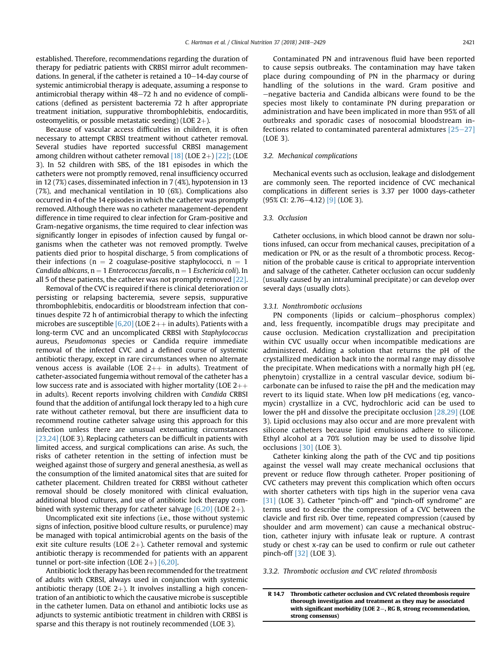established. Therefore, recommendations regarding the duration of therapy for pediatric patients with CRBSI mirror adult recommendations. In general, if the catheter is retained a  $10-14$ -day course of systemic antimicrobial therapy is adequate, assuming a response to antimicrobial therapy within  $48-72$  h and no evidence of complications (defined as persistent bacteremia 72 h after appropriate treatment initiation, suppurative thrombophlebitis, endocarditis, osteomyelitis, or possible metastatic seeding) (LOE  $2+$ ).

Because of vascular access difficulties in children, it is often necessary to attempt CRBSI treatment without catheter removal. Several studies have reported successful CRBSI management among children without catheter removal  $[18]$  (LOE 2+)  $[22]$ ; (LOE 3). In 52 children with SBS, of the 181 episodes in which the catheters were not promptly removed, renal insufficiency occurred in 12 (7%) cases, disseminated infection in 7 (4%), hypotension in 13 (7%), and mechanical ventilation in 10 (6%). Complications also occurred in 4 of the 14 episodes in which the catheter was promptly removed. Although there was no catheter management-dependent difference in time required to clear infection for Gram-positive and Gram-negative organisms, the time required to clear infection was significantly longer in episodes of infection caused by fungal organisms when the catheter was not removed promptly. Twelve patients died prior to hospital discharge, 5 from complications of their infections ( $n = 2$  coagulase-positive staphylococci,  $n = 1$ Candida albicans,  $n = 1$  Enterococcus faecalis,  $n = 1$  Eschericia coli). In all 5 of these patients, the catheter was not promptly removed [\[22\].](#page-9-0)

Removal of the CVC is required if there is clinical deterioration or persisting or relapsing bacteremia, severe sepsis, suppurative thrombophlebitis, endocarditis or bloodstream infection that continues despite 72 h of antimicrobial therapy to which the infecting microbes are susceptible  $[6,20]$  (LOE 2++ in adults). Patients with a long-term CVC and an uncomplicated CRBSI with Staphylococcus aureus, Pseudomonas species or Candida require immediate removal of the infected CVC and a defined course of systemic antibiotic therapy, except in rare circumstances when no alternate venous access is available (LOE  $2++$  in adults). Treatment of catheter-associated fungemia without removal of the catheter has a low success rate and is associated with higher mortality (LOE  $2++$ in adults). Recent reports involving children with Candida CRBSI found that the addition of antifungal lock therapy led to a high cure rate without catheter removal, but there are insufficient data to recommend routine catheter salvage using this approach for this infection unless there are unusual extenuating circumstances [\[23,24\]](#page-9-0) (LOE 3). Replacing catheters can be difficult in patients with limited access, and surgical complications can arise. As such, the risks of catheter retention in the setting of infection must be weighed against those of surgery and general anesthesia, as well as the consumption of the limited anatomical sites that are suited for catheter placement. Children treated for CRBSI without catheter removal should be closely monitored with clinical evaluation, additional blood cultures, and use of antibiotic lock therapy combined with systemic therapy for catheter salvage  $[6,20]$  (LOE 2+).

Uncomplicated exit site infections (i.e., those without systemic signs of infection, positive blood culture results, or purulence) may be managed with topical antimicrobial agents on the basis of the exit site culture results (LOE  $2+$ ). Catheter removal and systemic antibiotic therapy is recommended for patients with an apparent tunnel or port-site infection (LOE 2+) [\[6,20\].](#page-8-0)

Antibiotic lock therapy has been recommended for the treatment of adults with CRBSI, always used in conjunction with systemic antibiotic therapy (LOE 2+). It involves installing a high concentration of an antibiotic to which the causative microbe is susceptible in the catheter lumen. Data on ethanol and antibiotic locks use as adjuncts to systemic antibiotic treatment in children with CRBSI is sparse and this therapy is not routinely recommended (LOE 3).

Contaminated PN and intravenous fluid have been reported to cause sepsis outbreaks. The contamination may have taken place during compounding of PN in the pharmacy or during handling of the solutions in the ward. Gram positive and -negative bacteria and Candida albicans were found to be the species most likely to contaminate PN during preparation or administration and have been implicated in more than 95% of all outbreaks and sporadic cases of nosocomial bloodstream infections related to contaminated parenteral admixtures  $[25-27]$  $[25-27]$  $[25-27]$ (LOE 3).

#### 3.2. Mechanical complications

Mechanical events such as occlusion, leakage and dislodgement are commonly seen. The reported incidence of CVC mechanical complications in different series is 3.37 per 1000 days-catheter  $(95\%$  CI: 2.76-4.12) [\[9\]](#page-9-0) (LOE 3).

#### 3.3. Occlusion

Catheter occlusions, in which blood cannot be drawn nor solutions infused, can occur from mechanical causes, precipitation of a medication or PN, or as the result of a thrombotic process. Recognition of the probable cause is critical to appropriate intervention and salvage of the catheter. Catheter occlusion can occur suddenly (usually caused by an intraluminal precipitate) or can develop over several days (usually clots).

#### 3.3.1. Nonthrombotic occlusions

PN components (lipids or calcium-phosphorus complex) and, less frequently, incompatible drugs may precipitate and cause occlusion. Medication crystallization and precipitation within CVC usually occur when incompatible medications are administered. Adding a solution that returns the pH of the crystallized medication back into the normal range may dissolve the precipitate. When medications with a normally high pH (eg, phenytoin) crystallize in a central vascular device, sodium bicarbonate can be infused to raise the pH and the medication may revert to its liquid state. When low pH medications (eg, vancomycin) crystallize in a CVC, hydrochloric acid can be used to lower the pH and dissolve the precipitate occlusion [\[28,29\]](#page-9-0) (LOE 3). Lipid occlusions may also occur and are more prevalent with silicone catheters because lipid emulsions adhere to silicone. Ethyl alcohol at a 70% solution may be used to dissolve lipid occlusions [\[30\]](#page-9-0) (LOE 3).

Catheter kinking along the path of the CVC and tip positions against the vessel wall may create mechanical occlusions that prevent or reduce flow through catheter. Proper positioning of CVC catheters may prevent this complication which often occurs with shorter catheters with tips high in the superior vena cava [\[31\]](#page-9-0) (LOE 3). Catheter "pinch-off" and "pinch-off syndrome" are terms used to describe the compression of a CVC between the clavicle and first rib. Over time, repeated compression (caused by shoulder and arm movement) can cause a mechanical obstruction, catheter injury with infusate leak or rupture. A contrast study or chest x-ray can be used to confirm or rule out catheter pinch-off [\[32\]](#page-9-0) (LOE 3).

3.3.2. Thrombotic occlusion and CVC related thrombosis

R 14.7 Thrombotic catheter occlusion and CVC related thrombosis require thorough investigation and treatment as they may be associated with significant morbidity (LOE  $2-$ , RG B, strong recommendation, strong consensus)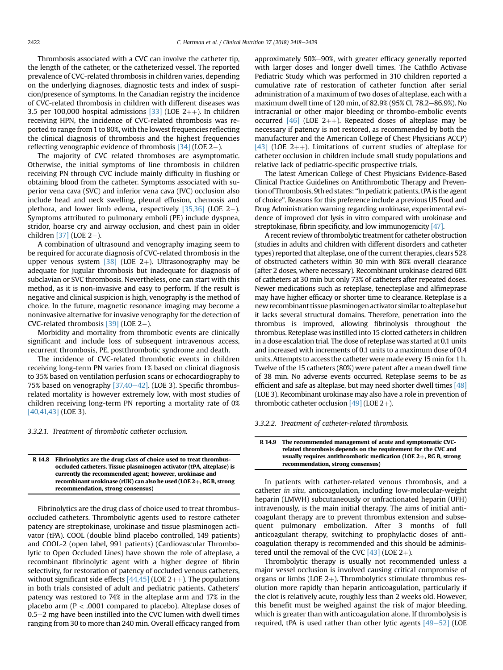Thrombosis associated with a CVC can involve the catheter tip, the length of the catheter, or the catheterized vessel. The reported prevalence of CVC-related thrombosis in children varies, depending on the underlying diagnoses, diagnostic tests and index of suspicion/presence of symptoms. In the Canadian registry the incidence of CVC-related thrombosis in children with different diseases was 3.5 per 100,000 hospital admissions  $\left[33\right]$  (LOE 2++). In children receiving HPN, the incidence of CVC-related thrombosis was reported to range from 1 to 80%, with the lowest frequencies reflecting the clinical diagnosis of thrombosis and the highest frequencies reflecting venographic evidence of thrombosis  $[34]$  (LOE 2-).

The majority of CVC related thromboses are asymptomatic. Otherwise, the initial symptoms of line thrombosis in children receiving PN through CVC include mainly difficulty in flushing or obtaining blood from the catheter. Symptoms associated with superior vena cava (SVC) and inferior vena cava (IVC) occlusion also include head and neck swelling, pleural effusion, chemosis and plethora, and lower limb edema, respectively  $[35,36]$  (LOE 2-). Symptoms attributed to pulmonary emboli (PE) include dyspnea, stridor, hoarse cry and airway occlusion, and chest pain in older children [\[37\]](#page-9-0) (LOE 2-).

A combination of ultrasound and venography imaging seem to be required for accurate diagnosis of CVC-related thrombosis in the upper venous system  $[38]$  (LOE 2+). Ultrasonography may be adequate for jugular thrombosis but inadequate for diagnosis of subclavian or SVC thrombosis. Nevertheless, one can start with this method, as it is non-invasive and easy to perform. If the result is negative and clinical suspicion is high, venography is the method of choice. In the future, magnetic resonance imaging may become a noninvasive alternative for invasive venography for the detection of CVC-related thrombosis  $[39]$  (LOE 2-).

Morbidity and mortality from thrombotic events are clinically significant and include loss of subsequent intravenous access, recurrent thrombosis, PE, postthrombotic syndrome and death.

The incidence of CVC-related thrombotic events in children receiving long-term PN varies from 1% based on clinical diagnosis to 35% based on ventilation perfusion scans or echocardiography to 75% based on venography  $[37,40-42]$  $[37,40-42]$  $[37,40-42]$ . (LOE 3). Specific thrombusrelated mortality is however extremely low, with most studies of children receiving long-term PN reporting a mortality rate of 0% [\[40,41,43\]](#page-9-0) (LOE 3).

3.3.2.1. Treatment of thrombotic catheter occlusion.

#### R 14.8 Fibrinolytics are the drug class of choice used to treat thrombusoccluded catheters. Tissue plasminogen activator (tPA, alteplase) is currently the recommended agent; however, urokinase and recombinant urokinase (rUK) can also be used (LOE  $2+$ , RG B, strong recommendation, strong consensus)

Fibrinolytics are the drug class of choice used to treat thrombusoccluded catheters. Thrombolytic agents used to restore catheter patency are streptokinase, urokinase and tissue plasminogen activator (tPA). COOL (double blind placebo controlled, 149 patients) and COOL-2 (open label, 991 patients) (Cardiovascular Thrombolytic to Open Occluded Lines) have shown the role of alteplase, a recombinant fibrinolytic agent with a higher degree of fibrin selectivity, for restoration of patency of occluded venous catheters, without significant side effects  $[44,45]$  (LOE 2++). The populations in both trials consisted of adult and pediatric patients. Catheters' patency was restored to 74% in the alteplase arm and 17% in the placebo arm ( $P < .0001$  compared to placebo). Alteplase doses of  $0.5-2$  mg have been instilled into the CVC lumen with dwell times ranging from 30 to more than 240 min. Overall efficacy ranged from approximately 50%-90%, with greater efficacy generally reported with larger doses and longer dwell times. The Cathflo Activase Pediatric Study which was performed in 310 children reported a cumulative rate of restoration of catheter function after serial administration of a maximum of two doses of alteplase, each with a maximum dwell time of 120 min, of 82.9% (95% CI, 78.2-86.9%). No intracranial or other major bleeding or thrombo-embolic events occurred [\[46\]](#page-9-0) (LOE 2++). Repeated doses of alteplase may be necessary if patency is not restored, as recommended by both the manufacturer and the American College of Chest Physicians ACCP) [\[43\]](#page-9-0) (LOE 2++). Limitations of current studies of alteplase for catheter occlusion in children include small study populations and relative lack of pediatric-specific prospective trials.

The latest American College of Chest Physicians Evidence-Based Clinical Practice Guidelines on Antithrombotic Therapy and Prevention of Thrombosis, 9th ed states: "In pediatric patients, tPAis the agent of choice". Reasons for this preference include a previous US Food and Drug Administration warning regarding urokinase, experimental evidence of improved clot lysis in vitro compared with urokinase and streptokinase, fibrin specificity, and low immunogenicity [\[47\].](#page-9-0)

A recent review of thrombolytic treatment for catheter obstruction (studies in adults and children with different disorders and catheter types) reported that alteplase, one of the current therapies, clears 52% of obstructed catheters within 30 min with 86% overall clearance (after 2 doses, where necessary). Recombinant urokinase cleared 60% of catheters at 30 min but only 73% of catheters after repeated doses. Newer medications such as reteplase, tenecteplase and alfimeprase may have higher efficacy or shorter time to clearance. Reteplase is a new recombinant tissue plasminogen activator similar to alteplase but it lacks several structural domains. Therefore, penetration into the thrombus is improved, allowing fibrinolysis throughout the thrombus. Reteplase was instilled into 15 clotted catheters in children in a dose escalation trial. The dose of reteplase was started at 0.1 units and increased with increments of 0.1 units to a maximum dose of 0.4 units. Attempts to access the catheter were made every 15 min for 1 h. Twelve of the 15 catheters (80%) were patent after a mean dwell time of 38 min. No adverse events occurred. Reteplase seems to be as efficient and safe as alteplase, but may need shorter dwell times [\[48\]](#page-9-0) (LOE 3). Recombinant urokinase may also have a role in prevention of thrombotic catheter occlusion  $[49]$  (LOE 2+).

3.3.2.2. Treatment of catheter-related thrombosis.

#### R 14.9 The recommended management of acute and symptomatic CVCrelated thrombosis depends on the requirement for the CVC and usually requires antithrombotic medication (LOE  $2+$ , RG B, strong recommendation, strong consensus)

In patients with catheter-related venous thrombosis, and a catheter in situ, anticoagulation, including low-molecular-weight heparin (LMWH) subcutaneously or unfractionated heparin (UFH) intravenously, is the main initial therapy. The aims of initial anticoagulant therapy are to prevent thrombus extension and subsequent pulmonary embolization. After 3 months of full anticoagulant therapy, switching to prophylactic doses of anticoagulation therapy is recommended and this should be administered until the removal of the CVC  $[43]$  (LOE 2+).

Thrombolytic therapy is usually not recommended unless a major vessel occlusion is involved causing critical compromise of organs or limbs (LOE  $2+$ ). Thrombolytics stimulate thrombus resolution more rapidly than heparin anticoagulation, particularly if the clot is relatively acute, roughly less than 2 weeks old. However, this benefit must be weighed against the risk of major bleeding, which is greater than with anticoagulation alone. If thrombolysis is required, tPA is used rather than other lytic agents  $[49-52]$  $[49-52]$  $[49-52]$  (LOE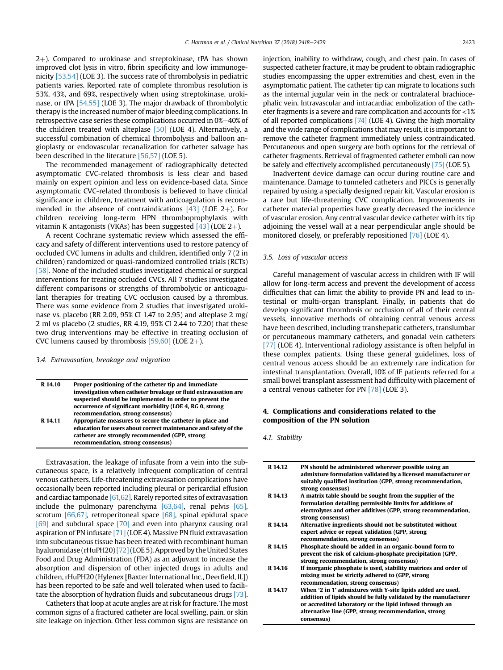$2+$ ). Compared to urokinase and streptokinase, tPA has shown improved clot lysis in vitro, fibrin specificity and low immunogenicity [\[53,54\]](#page-9-0) (LOE 3). The success rate of thrombolysis in pediatric patients varies. Reported rate of complete thrombus resolution is 53%, 43%, and 69%, respectively when using streptokinase, urokinase, or tPA [\[54,55\]](#page-9-0) (LOE 3). The major drawback of thrombolytic therapy is the increased number of major bleeding complications. In retrospective case series these complications occurred in  $0\% - 40\%$  of the children treated with alteplase [\[50\]](#page-9-0) (LOE 4). Alternatively, a successful combination of chemical thrombolysis and balloon angioplasty or endovascular recanalization for catheter salvage has been described in the literature [\[56,57\]](#page-9-0) (LOE 5).

The recommended management of radiographically detected asymptomatic CVC-related thrombosis is less clear and based mainly on expert opinion and less on evidence-based data. Since asymptomatic CVC-related thrombosis is believed to have clinical significance in children, treatment with anticoagulation is recommended in the absence of contraindications  $[43]$  (LOE 2+). For children receiving long-term HPN thromboprophylaxis with vitamin K antagonists (VKAs) has been suggested  $[43]$  (LOE 2+).

A recent Cochrane systematic review which assessed the efficacy and safety of different interventions used to restore patency of occluded CVC lumens in adults and children, identified only 7 (2 in children) randomized or quasi-randomized controlled trials (RCTs) [\[58\].](#page-9-0) None of the included studies investigated chemical or surgical interventions for treating occluded CVCs. All 7 studies investigated different comparisons or strengths of thrombolytic or anticoagulant therapies for treating CVC occlusion caused by a thrombus. There was some evidence from 2 studies that investigated urokinase vs. placebo (RR 2.09, 95% CI 1.47 to 2.95) and alteplase 2 mg/ 2 ml vs placebo (2 studies, RR 4.19, 95% CI 2.44 to 7.20) that these two drug interventions may be effective in treating occlusion of CVC lumens caused by thrombosis  $[59,60]$  (LOE 2+).

#### 3.4. Extravasation, breakage and migration

| R 14.10 | Proper positioning of the catheter tip and immediate<br>investigation when catheter breakage or fluid extravasation are<br>suspected should be implemented in order to prevent the<br>occurrence of significant morbidity (LOE 4, RG 0, strong<br>recommendation, strong consensus) |
|---------|-------------------------------------------------------------------------------------------------------------------------------------------------------------------------------------------------------------------------------------------------------------------------------------|
| R 14.11 | Appropriate measures to secure the catheter in place and<br>education for users about correct maintenance and safety of the<br>catheter are strongly recommended (GPP, strong<br>recommendation, strong consensus)                                                                  |

Extravasation, the leakage of infusate from a vein into the subcutaneous space, is a relatively infrequent complication of central venous catheters. Life-threatening extravasation complications have occasionally been reported including pleural or pericardial effusion and cardiac tamponade  $[61,62]$ . Rarely reported sites of extravasation include the pulmonary parenchyma [\[63,64\],](#page-10-0) renal pelvis [\[65\],](#page-10-0) scrotum [\[66,67\],](#page-10-0) retroperitoneal space [\[68\]](#page-10-0), spinal epidural space [\[69\]](#page-10-0) and subdural space [\[70\]](#page-10-0) and even into pharynx causing oral aspiration of PN infusate [\[71\]](#page-10-0) (LOE 4). Massive PN fluid extravasation into subcutaneous tissue has been treated with recombinant human hyaluronidase (rHuPH20)[\[72\]](#page-10-0)(LOE 5). Approved by the United States Food and Drug Administration (FDA) as an adjuvant to increase the absorption and dispersion of other injected drugs in adults and children, rHuPH20 (Hylenex [Baxter International Inc., Deerfield, IL]) has been reported to be safe and well tolerated when used to facilitate the absorption of hydration fluids and subcutaneous drugs [\[73\].](#page-10-0)

Catheters that loop at acute angles are at risk for fracture. The most common signs of a fractured catheter are local swelling, pain, or skin site leakage on injection. Other less common signs are resistance on injection, inability to withdraw, cough, and chest pain. In cases of suspected catheter fracture, it may be prudent to obtain radiographic studies encompassing the upper extremities and chest, even in the asymptomatic patient. The catheter tip can migrate to locations such as the internal jugular vein in the neck or contralateral brachiocephalic vein. Intravascular and intracardiac embolization of the catheter fragments is a severe and rare complication and accounts for <1% of all reported complications [\[74\]](#page-10-0) (LOE 4). Giving the high mortality and the wide range of complications that may result, it is important to remove the catheter fragment immediately unless contraindicated. Percutaneous and open surgery are both options for the retrieval of catheter fragments. Retrieval of fragmented catheter emboli can now be safely and effectively accomplished percutaneously [\[75\]](#page-10-0) (LOE 5).

Inadvertent device damage can occur during routine care and maintenance. Damage to tunneled catheters and PICCs is generally repaired by using a specially designed repair kit. Vascular erosion is a rare but life-threatening CVC complication. Improvements in catheter material properties have greatly decreased the incidence of vascular erosion. Any central vascular device catheter with its tip adjoining the vessel wall at a near perpendicular angle should be monitored closely, or preferably repositioned [\[76\]](#page-10-0) (LOE 4).

#### 3.5. Loss of vascular access

Careful management of vascular access in children with IF will allow for long-term access and prevent the development of access difficulties that can limit the ability to provide PN and lead to intestinal or multi-organ transplant. Finally, in patients that do develop significant thrombosis or occlusion of all of their central vessels, innovative methods of obtaining central venous access have been described, including transhepatic catheters, translumbar or percutaneous mammary catheters, and gonadal vein catheters [\[77\]](#page-10-0) (LOE 4). Interventional radiology assistance is often helpful in these complex patients. Using these general guidelines, loss of central venous access should be an extremely rare indication for intestinal transplantation. Overall, 10% of IF patients referred for a small bowel transplant assessment had difficulty with placement of a central venous catheter for PN [\[78\]](#page-10-0) (LOE 3).

## 4. Complications and considerations related to the composition of the PN solution

4.1. Stability

| R 14.12 | PN should be administered wherever possible using an<br>admixture formulation validated by a licensed manufacturer or<br>suitably qualified institution (GPP, strong recommendation,<br>strong consensus)                                                         |
|---------|-------------------------------------------------------------------------------------------------------------------------------------------------------------------------------------------------------------------------------------------------------------------|
| R 14.13 | A matrix table should be sought from the supplier of the<br>formulation detailing permissible limits for additions of<br>electrolytes and other additives (GPP, strong recommendation,<br>strong consensus)                                                       |
| R 14.14 | Alternative ingredients should not be substituted without<br>expert advice or repeat validation (GPP, strong<br>recommendation, strong consensus)                                                                                                                 |
| R 14.15 | Phosphate should be added in an organic-bound form to<br>prevent the risk of calcium-phosphate precipitation (GPP,<br>strong recommendation, strong consensus)                                                                                                    |
| R 14.16 | If inorganic phosphate is used, stability matrices and order of<br>mixing must be strictly adhered to (GPP, strong<br>recommendation, strong consensus)                                                                                                           |
| R 14.17 | When '2 in 1' admixtures with Y-site lipids added are used,<br>addition of lipids should be fully validated by the manufacturer<br>or accredited laboratory or the lipid infused through an<br>alternative line (GPP, strong recommendation, strong<br>consensus) |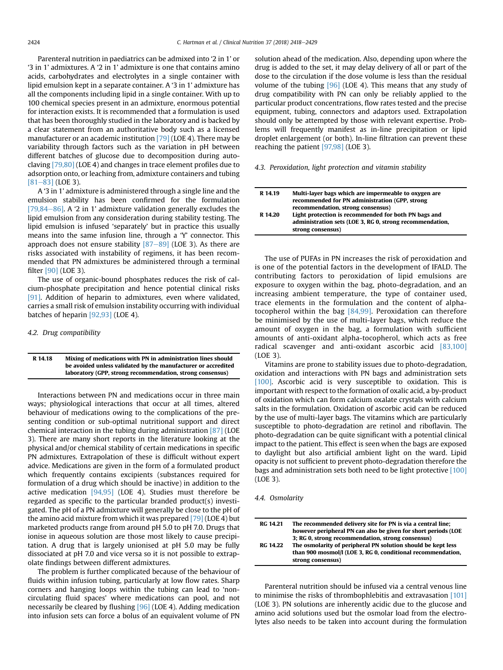Parenteral nutrition in paediatrics can be admixed into '2 in 1' or '3 in 1' admixtures. A '2 in 1' admixture is one that contains amino acids, carbohydrates and electrolytes in a single container with lipid emulsion kept in a separate container. A '3 in 1' admixture has all the components including lipid in a single container. With up to 100 chemical species present in an admixture, enormous potential for interaction exists. It is recommended that a formulation is used that has been thoroughly studied in the laboratory and is backed by a clear statement from an authoritative body such as a licensed manufacturer or an academic institution [\[79\]](#page-10-0) (LOE 4). There may be variability through factors such as the variation in pH between different batches of glucose due to decomposition during autoclaving [\[79,80\]](#page-10-0) (LOE 4) and changes in trace element profiles due to adsorption onto, or leaching from, admixture containers and tubing  $[81-83]$  $[81-83]$  $[81-83]$  (LOE 3).

A '3 in 1' admixture is administered through a single line and the emulsion stability has been confirmed for the formulation [\[79,84](#page-10-0) $-86$ ]. A '2 in 1' admixture validation generally excludes the lipid emulsion from any consideration during stability testing. The lipid emulsion is infused 'separately' but in practice this usually means into the same infusion line, through a 'Y' connector. This approach does not ensure stability  $[87-89]$  $[87-89]$  $[87-89]$  (LOE 3). As there are risks associated with instability of regimens, it has been recommended that PN admixtures be administered through a terminal filter [\[90\]](#page-10-0) (LOE 3).

The use of organic-bound phosphates reduces the risk of calcium-phosphate precipitation and hence potential clinical risks [\[91\].](#page-10-0) Addition of heparin to admixtures, even where validated, carries a small risk of emulsion instability occurring with individual batches of heparin [\[92,93\]](#page-10-0) (LOE 4).

### 4.2. Drug compatibility

#### R 14.18 Mixing of medications with PN in administration lines should be avoided unless validated by the manufacturer or accredited laboratory (GPP, strong recommendation, strong consensus)

Interactions between PN and medications occur in three main ways; physiological interactions that occur at all times, altered behaviour of medications owing to the complications of the presenting condition or sub-optimal nutritional support and direct chemical interaction in the tubing during administration [\[87\]](#page-10-0) (LOE 3). There are many short reports in the literature looking at the physical and/or chemical stability of certain medications in specific PN admixtures. Extrapolation of these is difficult without expert advice. Medications are given in the form of a formulated product which frequently contains excipients (substances required for formulation of a drug which should be inactive) in addition to the active medication  $[94,95]$  (LOE 4). Studies must therefore be regarded as specific to the particular branded product(s) investigated. The pH of a PN admixture will generally be close to the pH of the amino acid mixture from which it was prepared [\[79\]](#page-10-0) (LOE 4) but marketed products range from around pH 5.0 to pH 7.0. Drugs that ionise in aqueous solution are those most likely to cause precipitation. A drug that is largely unionised at pH 5.0 may be fully dissociated at pH 7.0 and vice versa so it is not possible to extrapolate findings between different admixtures.

The problem is further complicated because of the behaviour of fluids within infusion tubing, particularly at low flow rates. Sharp corners and hanging loops within the tubing can lead to 'noncirculating fluid spaces' where medications can pool, and not necessarily be cleared by flushing [\[96\]](#page-10-0) (LOE 4). Adding medication into infusion sets can force a bolus of an equivalent volume of PN

solution ahead of the medication. Also, depending upon where the drug is added to the set, it may delay delivery of all or part of the dose to the circulation if the dose volume is less than the residual volume of the tubing  $[96]$  (LOE 4). This means that any study of drug compatibility with PN can only be reliably applied to the particular product concentrations, flow rates tested and the precise equipment, tubing, connectors and adaptors used. Extrapolation should only be attempted by those with relevant expertise. Problems will frequently manifest as in-line precipitation or lipid droplet enlargement (or both). In-line filtration can prevent these reaching the patient [\[97,98\]](#page-10-0) (LOE 3).

4.3. Peroxidation, light protection and vitamin stability

| R 14.19 | Multi-layer bags which are impermeable to oxygen are<br>recommended for PN administration (GPP, strong |
|---------|--------------------------------------------------------------------------------------------------------|
|         | recommendation, strong consensus)                                                                      |
| R 14.20 | Light protection is recommended for both PN bags and                                                   |
|         | administration sets (LOE 3, RG 0, strong recommendation,                                               |
|         | strong consensus)                                                                                      |
|         |                                                                                                        |

The use of PUFAs in PN increases the risk of peroxidation and is one of the potential factors in the development of IFALD. The contributing factors to peroxidation of lipid emulsions are exposure to oxygen within the bag, photo-degradation, and an increasing ambient temperature, the type of container used, trace elements in the formulation and the content of alphatocopherol within the bag  $[84,99]$ . Peroxidation can therefore be minimised by the use of multi-layer bags, which reduce the amount of oxygen in the bag, a formulation with sufficient amounts of anti-oxidant alpha-tocopherol, which acts as free radical scavenger and anti-oxidant ascorbic acid [\[83,100\]](#page-10-0) (LOE 3).

Vitamins are prone to stability issues due to photo-degradation, oxidation and interactions with PN bags and administration sets [\[100\].](#page-10-0) Ascorbic acid is very susceptible to oxidation. This is important with respect to the formation of oxalic acid, a by-product of oxidation which can form calcium oxalate crystals with calcium salts in the formulation. Oxidation of ascorbic acid can be reduced by the use of multi-layer bags. The vitamins which are particularly susceptible to photo-degradation are retinol and riboflavin. The photo-degradation can be quite significant with a potential clinical impact to the patient. This effect is seen when the bags are exposed to daylight but also artificial ambient light on the ward. Lipid opacity is not sufficient to prevent photo-degradation therefore the bags and administration sets both need to be light protective [\[100\]](#page-10-0) (LOE 3).

# 4.4. Osmolarity

| RG 14.21        | The recommended delivery site for PN is via a central line;<br>however peripheral PN can also be given for short periods (LOE<br>3; RG 0, strong recommendation, strong consensus) |
|-----------------|------------------------------------------------------------------------------------------------------------------------------------------------------------------------------------|
| <b>RG 14.22</b> | The osmolarity of peripheral PN solution should be kept less<br>than 900 mosmol/l (LOE 3, RG 0, conditional recommendation,<br>strong consensus)                                   |

Parenteral nutrition should be infused via a central venous line to minimise the risks of thrombophlebitis and extravasation [\[101\]](#page-10-0) (LOE 3). PN solutions are inherently acidic due to the glucose and amino acid solutions used but the osmolar load from the electrolytes also needs to be taken into account during the formulation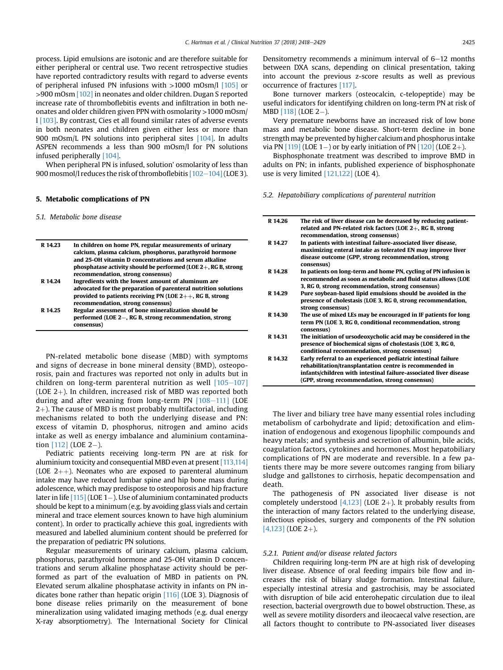process. Lipid emulsions are isotonic and are therefore suitable for either peripheral or central use. Two recent retrospective studies have reported contradictory results with regard to adverse events of peripheral infused PN infusions with >1000 mOsm/l [\[105\]](#page-10-0) or >900 mOsm [\[102\]](#page-10-0) in neonates and older children. Dugan S reported increase rate of thromboflebitis events and infiltration in both neonates and older children given PPN with osmolarity >1000 mOsm/ l [\[103\].](#page-10-0) By contrast, Cies et all found similar rates of adverse events in both neonates and children given either less or more than 900 mOsm/L PN solutions into peripheral sites [\[104\].](#page-10-0) In adults ASPEN recommends a less than 900 mOsm/l for PN solutions infused peripherally [\[104\].](#page-10-0)

When peripheral PN is infused, solution' osmolarity of less than 900 mosmol/l reduces the risk of thromboflebitis  $[102-104]$  $[102-104]$  $[102-104]$  (LOE 3).

### 5. Metabolic complications of PN

#### 5.1. Metabolic bone disease

| R 14.23 | In children on home PN, regular measurements of urinary<br>calcium, plasma calcium, phosphorus, parathyroid hormone<br>and 25-OH vitamin D concentrations and serum alkaline<br>phosphatase activity should be performed (LOE $2+$ , RG B, strong<br>recommendation, strong consensus) |
|---------|----------------------------------------------------------------------------------------------------------------------------------------------------------------------------------------------------------------------------------------------------------------------------------------|
| R 14.24 | Ingredients with the lowest amount of aluminum are<br>advocated for the preparation of parenteral nutrition solutions<br>provided to patients receiving PN (LOE $2++$ , RG B, strong<br>recommendation, strong consensus)                                                              |
| R 14.25 | Regular assessment of bone mineralization should be<br>performed (LOE 2–, RG B, strong recommendation, strong<br>consensus)                                                                                                                                                            |

PN-related metabolic bone disease (MBD) with symptoms and signs of decrease in bone mineral density (BMD), osteoporosis, pain and fractures was reported not only in adults but in children on long-term parenteral nutrition as well  $[105-107]$  $[105-107]$  $[105-107]$ (LOE 2+). In children, increased risk of MBD was reported both during and after weaning from long-term PN  $[108-111]$  $[108-111]$  $[108-111]$  (LOE  $2+$ ). The cause of MBD is most probably multifactorial, including mechanisms related to both the underlying disease and PN: excess of vitamin D, phosphorus, nitrogen and amino acids intake as well as energy imbalance and aluminium contamination  $[112]$  (LOE 2-).

Pediatric patients receiving long-term PN are at risk for aluminium toxicity and consequential MBD even at present [\[113,114\]](#page-10-0) (LOE  $2++$ ). Neonates who are exposed to parenteral aluminum intake may have reduced lumbar spine and hip bone mass during adolescence, which may predispose to osteoporosis and hip fracture later in life  $[115]$  (LOE 1-). Use of aluminium contaminated products should be kept to a minimum (e.g. by avoiding glass vials and certain mineral and trace element sources known to have high aluminium content). In order to practically achieve this goal, ingredients with measured and labelled aluminium content should be preferred for the preparation of pediatric PN solutions.

Regular measurements of urinary calcium, plasma calcium, phosphorus, parathyroid hormone and 25-OH vitamin D concentrations and serum alkaline phosphatase activity should be performed as part of the evaluation of MBD in patients on PN. Elevated serum alkaline phosphatase activity in infants on PN indicates bone rather than hepatic origin [\[116\]](#page-10-0) (LOE 3). Diagnosis of bone disease relies primarily on the measurement of bone mineralization using validated imaging methods (e.g. dual energy X-ray absorptiometry). The International Society for Clinical

Densitometry recommends a minimum interval of  $6-12$  months between DXA scans, depending on clinical presentation, taking into account the previous z-score results as well as previous occurrence of fractures [\[117\]](#page-11-0).

Bone turnover markers (osteocalcin, c-telopeptide) may be useful indicators for identifying children on long-term PN at risk of MBD  $[118]$  (LOE 2-).

Very premature newborns have an increased risk of low bone mass and metabolic bone disease. Short-term decline in bone strength may be prevented by higher calcium and phosphorus intake via PN  $[119]$  (LOE 1-) or by early initiation of PN  $[120]$  (LOE 2+).

Bisphosphonate treatment was described to improve BMD in adults on PN; in infants, published experience of bisphosphonate use is very limited  $[121,122]$  (LOE 4).

5.2. Hepatobiliary complications of parenteral nutrition

| R 14.26 | The risk of liver disease can be decreased by reducing patient-<br>related and PN-related risk factors (LOE 2+, RG B, strong<br>recommendation, strong consensus) |
|---------|-------------------------------------------------------------------------------------------------------------------------------------------------------------------|
| R 14.27 | In patients with intestinal failure-associated liver disease,                                                                                                     |
|         | maximizing enteral intake as tolerated EN may improve liver                                                                                                       |
|         | disease outcome (GPP, strong recommendation, strong                                                                                                               |
|         | consensus)                                                                                                                                                        |
| R 14.28 | In patients on long-term and home PN, cycling of PN infusion is                                                                                                   |
|         | recommended as soon as metabolic and fluid status allows (LOE                                                                                                     |
|         | 3, RG 0, strong recommendation, strong consensus)                                                                                                                 |
| R 14.29 | Pure soybean-based lipid emulsions should be avoided in the                                                                                                       |
|         | presence of cholestasis (LOE 3, RG 0, strong recommendation,                                                                                                      |
|         | strong consensus)                                                                                                                                                 |
| R 14.30 | The use of mixed LEs may be encouraged in IF patients for long                                                                                                    |
|         | term PN (LOE 3, RG 0, conditional recommendation, strong                                                                                                          |
|         | consensus)                                                                                                                                                        |
| R 14.31 | The initiation of ursodeoxycholic acid may be considered in the                                                                                                   |
|         | presence of biochemical signs of cholestasis (LOE 3, RG 0,                                                                                                        |
|         | conditional recommendation, strong consensus)                                                                                                                     |
| R 14.32 | Early referral to an experienced pediatric intestinal failure                                                                                                     |
|         | rehabilitation/transplantation centre is recommended in                                                                                                           |
|         | infants/children with intestinal failure-associated liver disease                                                                                                 |
|         | (GPP, strong recommendation, strong consensus)                                                                                                                    |

The liver and biliary tree have many essential roles including metabolism of carbohydrate and lipid; detoxification and elimination of endogenous and exogenous lipophilic compounds and heavy metals; and synthesis and secretion of albumin, bile acids, coagulation factors, cytokines and hormones. Most hepatobiliary complications of PN are moderate and reversible. In a few patients there may be more severe outcomes ranging from biliary sludge and gallstones to cirrhosis, hepatic decompensation and death.

The pathogenesis of PN associated liver disease is not completely understood [\[4,123\]](#page-8-0) (LOE 2+). It probably results from the interaction of many factors related to the underlying disease, infectious episodes, surgery and components of the PN solution  $[4,123]$  (LOE 2+).

#### 5.2.1. Patient and/or disease related factors

Children requiring long-term PN are at high risk of developing liver disease. Absence of oral feeding impairs bile flow and increases the risk of biliary sludge formation. Intestinal failure, especially intestinal atresia and gastrochisis, may be associated with disruption of bile acid enterohepatic circulation due to ileal resection, bacterial overgrowth due to bowel obstruction. These, as well as severe motility disorders and ileocaecal valve resection, are all factors thought to contribute to PN-associated liver diseases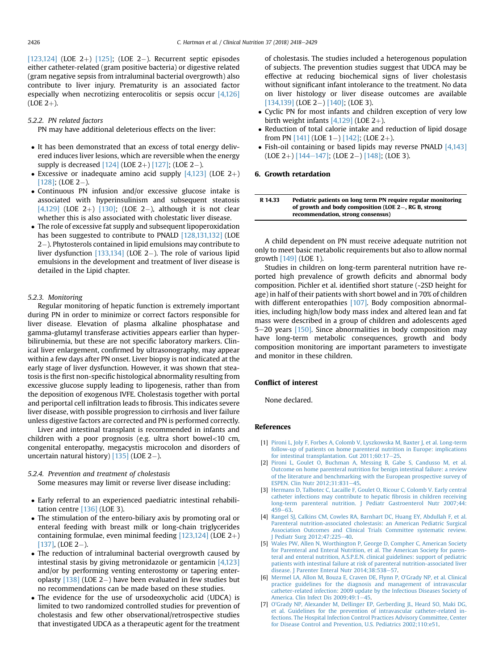<span id="page-8-0"></span>[\[123,124\]](#page-11-0) (LOE 2+)  $[125]$ ; (LOE 2-). Recurrent septic episodes either catheter-related (gram positive bacteria) or digestive related (gram negative sepsis from intraluminal bacterial overgrowth) also contribute to liver injury. Prematurity is an associated factor especially when necrotizing enterocolitis or sepsis occur [4,126]  $(LOE 2+)$ .

## 5.2.2. PN related factors

PN may have additional deleterious effects on the liver:

- It has been demonstrated that an excess of total energy delivered induces liver lesions, which are reversible when the energy supply is decreased  $[124]$  (LOE 2+)  $[127]$ ; (LOE 2-).
- Excessive or inadequate amino acid supply  $[4,123]$  (LOE 2+)  $[128]$ ; (LOE 2-).
- Continuous PN infusion and/or excessive glucose intake is associated with hyperinsulinism and subsequent steatosis [4,129] (LOE 2+) [\[130\];](#page-11-0) (LOE 2-), although it is not clear whether this is also associated with cholestatic liver disease.
- The role of excessive fat supply and subsequent lipoperoxidation has been suggested to contribute to PNALD [\[128,131,132\]](#page-11-0) (LOE 2–). Phytosterols contained in lipid emulsions may contribute to liver dysfunction  $[133,134]$  (LOE 2-). The role of various lipid emulsions in the development and treatment of liver disease is detailed in the Lipid chapter.

#### 5.2.3. Monitoring

Regular monitoring of hepatic function is extremely important during PN in order to minimize or correct factors responsible for liver disease. Elevation of plasma alkaline phosphatase and gamma-glutamyl transferase activities appears earlier than hyperbilirubinemia, but these are not specific laboratory markers. Clinical liver enlargement, confirmed by ultrasonography, may appear within a few days after PN onset. Liver biopsy is not indicated at the early stage of liver dysfunction. However, it was shown that steatosis is the first non-specific histological abnormality resulting from excessive glucose supply leading to lipogenesis, rather than from the deposition of exogenous IVFE. Cholestasis together with portal and periportal cell infiltration leads to fibrosis. This indicates severe liver disease, with possible progression to cirrhosis and liver failure unless digestive factors are corrected and PN is performed correctly.

Liver and intestinal transplant is recommended in infants and children with a poor prognosis (e.g. ultra short bowel<10 cm, congenital enteropathy, megacystis microcolon and disorders of uncertain natural history) [\[135\]](#page-11-0) (LOE 2-).

# 5.2.4. Prevention and treatment of cholestasis

Some measures may limit or reverse liver disease including:

- Early referral to an experienced paediatric intestinal rehabilitation centre [\[136\]](#page-11-0) (LOE 3).
- The stimulation of the entero-biliary axis by promoting oral or enteral feeding with breast milk or long-chain triglycerides containing formulae, even minimal feeding  $[123,124]$  (LOE 2+)  $[137]$ , (LOE 2-).
- The reduction of intraluminal bacterial overgrowth caused by intestinal stasis by giving metronidazole or gentamicin [4,123] and/or by performing venting enterostomy or tapering enteroplasty  $[138]$  (LOE 2-) have been evaluated in few studies but no recommendations can be made based on these studies.
- The evidence for the use of ursodeoxycholic acid (UDCA) is limited to two randomized controlled studies for prevention of cholestasis and few other observational/retrospective studies that investigated UDCA as a therapeutic agent for the treatment

of cholestasis. The studies included a heterogenous population of subjects. The prevention studies suggest that UDCA may be effective at reducing biochemical signs of liver cholestasis without significant infant intolerance to the treatment. No data on liver histology or liver disease outcomes are available  $[134, 139]$  (LOE 2-)  $[140]$ ; (LOE 3).

- Cyclic PN for most infants and children exception of very low birth weight infants  $[4,129]$  (LOE 2+).
- Reduction of total calorie intake and reduction of lipid dosage from PN  $[141]$  (LOE 1-)  $[142]$ ; (LOE 2+).
- Fish-oil containing or based lipids may reverse PNALD [4,143]  $(LOE 2+)$  [\[144](#page-11-0)-[147\]](#page-11-0); (LOE 2-) [\[148\];](#page-11-0) (LOE 3).

#### 6. Growth retardation

R 14.33 Pediatric patients on long term PN require regular monitoring of growth and body composition (LOE  $2-$ , RG B, strong recommendation, strong consensus)

A child dependent on PN must receive adequate nutrition not only to meet basic metabolic requirements but also to allow normal growth [\[149\]](#page-11-0) (LOE 1).

Studies in children on long-term parenteral nutrition have reported high prevalence of growth deficits and abnormal body composition. Pichler et al. identified short stature (-2SD height for age) in half of their patients with short bowel and in 70% of children with different enteropathies [\[107\].](#page-10-0) Body composition abnormalities, including high/low body mass index and altered lean and fat mass were described in a group of children and adolescents aged  $5-20$  years [\[150\].](#page-11-0) Since abnormalities in body composition may have long-term metabolic consequences, growth and body composition monitoring are important parameters to investigate and monitor in these children.

#### Conflict of interest

None declared.

# References

- [1] [Pironi L, Joly F, Forbes A, Colomb V, Lyszkowska M, Baxter J, et al. Long-term](http://refhub.elsevier.com/S0261-5614(18)31175-0/sref1) [follow-up of patients on home parenteral nutrition in Europe: implications](http://refhub.elsevier.com/S0261-5614(18)31175-0/sref1) for intestinal transplantation. Gut  $2011:60:17-25$ .
- [2] [Pironi L, Goulet O, Buchman A, Messing B, Gabe S, Candusso M, et al.](http://refhub.elsevier.com/S0261-5614(18)31175-0/sref2) [Outcome on home parenteral nutrition for benign intestinal failure: a review](http://refhub.elsevier.com/S0261-5614(18)31175-0/sref2) [of the literature and benchmarking with the European prospective survey of](http://refhub.elsevier.com/S0261-5614(18)31175-0/sref2) ESPEN. Clin Nutr  $2012:31:831-45$ .
- [3] [Hermans D, Talbotec C, Lacaille F, Goulet O, Ricour C, Colomb V. Early central](http://refhub.elsevier.com/S0261-5614(18)31175-0/sref3) [catheter infections may contribute to hepatic](http://refhub.elsevier.com/S0261-5614(18)31175-0/sref3) fibrosis in children receiving [long-term parenteral nutrition. J Pediatr Gastroenterol Nutr 2007;44:](http://refhub.elsevier.com/S0261-5614(18)31175-0/sref3)  $459 - 63$  $459 - 63$  $459 - 63$ .
- [4] [Rangel SJ, Calkins CM, Cowles RA, Barnhart DC, Huang EY, Abdullah F, et al.](http://refhub.elsevier.com/S0261-5614(18)31175-0/sref4) [Parenteral nutrition-associated cholestasis: an American Pediatric Surgical](http://refhub.elsevier.com/S0261-5614(18)31175-0/sref4) [Association Outcomes and Clinical Trials Committee systematic review.](http://refhub.elsevier.com/S0261-5614(18)31175-0/sref4) [J Pediatr Surg 2012;47:225](http://refhub.elsevier.com/S0261-5614(18)31175-0/sref4)-[40.](http://refhub.elsevier.com/S0261-5614(18)31175-0/sref4)
- [5] [Wales PW, Allen N, Worthington P, George D, Compher C, American Society](http://refhub.elsevier.com/S0261-5614(18)31175-0/sref5) [for Parenteral and Enteral Nutrition, et al. The American Society for paren](http://refhub.elsevier.com/S0261-5614(18)31175-0/sref5)[teral and enteral nutrition, A.S.P.E.N. clinical guidelines: support of pediatric](http://refhub.elsevier.com/S0261-5614(18)31175-0/sref5) [patients with intestinal failure at risk of parenteral nutrition-associated liver](http://refhub.elsevier.com/S0261-5614(18)31175-0/sref5) [disease. J Parenter Enteral Nutr 2014;38:538](http://refhub.elsevier.com/S0261-5614(18)31175-0/sref5)-[57](http://refhub.elsevier.com/S0261-5614(18)31175-0/sref5).
- [6] [Mermel LA, Allon M, Bouza E, Craven DE, Flynn P, O'Grady NP, et al. Clinical](http://refhub.elsevier.com/S0261-5614(18)31175-0/sref6) [practice guidelines for the diagnosis and management of intravascular](http://refhub.elsevier.com/S0261-5614(18)31175-0/sref6) [catheter-related infection: 2009 update by the Infectious Diseases Society of](http://refhub.elsevier.com/S0261-5614(18)31175-0/sref6) [America. Clin Infect Dis 2009;49:1](http://refhub.elsevier.com/S0261-5614(18)31175-0/sref6)-[45.](http://refhub.elsevier.com/S0261-5614(18)31175-0/sref6)
- [7] [O'Grady NP, Alexander M, Dellinger EP, Gerberding JL, Heard SO, Maki DG,](http://refhub.elsevier.com/S0261-5614(18)31175-0/sref7) [et al. Guidelines for the prevention of intravascular catheter-related in](http://refhub.elsevier.com/S0261-5614(18)31175-0/sref7)[fections. The Hospital Infection Control Practices Advisory Committee, Center](http://refhub.elsevier.com/S0261-5614(18)31175-0/sref7) [for Disease Control and Prevention, U.S. Pediatrics 2002;110:e51](http://refhub.elsevier.com/S0261-5614(18)31175-0/sref7).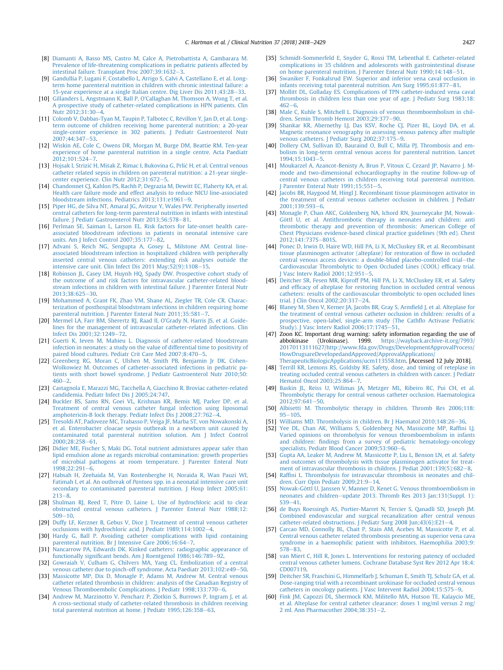- <span id="page-9-0"></span>[8] [Diamanti A, Basso MS, Castro M, Calce A, Pietrobattista A, Gambarara M.](http://refhub.elsevier.com/S0261-5614(18)31175-0/sref8) [Prevalence of life-threatening complications in pediatric patients affected by](http://refhub.elsevier.com/S0261-5614(18)31175-0/sref8) intestinal failure. Transplant Proc  $2007;39:1632-3$  $2007;39:1632-3$  $2007;39:1632-3$ .
- [9] [Gandullia P, Lugani F, Costabello L, Arrigo S, Calvi A, Castellano E, et al. Long](http://refhub.elsevier.com/S0261-5614(18)31175-0/sref9)[term home parenteral nutrition in children with chronic intestinal failure: a](http://refhub.elsevier.com/S0261-5614(18)31175-0/sref9) [15-year experience at a single Italian centre. Dig Liver Dis 2011;43:28](http://refhub.elsevier.com/S0261-5614(18)31175-0/sref9)-[33.](http://refhub.elsevier.com/S0261-5614(18)31175-0/sref9)
- [10] [Gillanders L, Angstmann K, Ball P, O'Callaghan M, Thomson A, Wong T, et al.](http://refhub.elsevier.com/S0261-5614(18)31175-0/sref10) [A prospective study of catheter-related complications in HPN patients. Clin](http://refhub.elsevier.com/S0261-5614(18)31175-0/sref10) Nutr 2012:31:30-[4](http://refhub.elsevier.com/S0261-5614(18)31175-0/sref10).
- [11] [Colomb V, Dabbas-Tyan M, Taupin P, Talbotec C, R](http://refhub.elsevier.com/S0261-5614(18)31175-0/sref11)e[villon Y, Jan D, et al. Long](http://refhub.elsevier.com/S0261-5614(18)31175-0/sref11) [term outcome of children receiving home parenteral nutrition: a 20-year](http://refhub.elsevier.com/S0261-5614(18)31175-0/sref11) [single-center experience in 302 patients. J Pediatr Gastroenterol Nutr](http://refhub.elsevier.com/S0261-5614(18)31175-0/sref11)  $2007:44:347-53.$  $2007:44:347-53.$
- [12] [Wiskin AE, Cole C, Owens DR, Morgan M, Burge DM, Beattie RM. Ten-year](http://refhub.elsevier.com/S0261-5614(18)31175-0/sref12) [experience of home parenteral nutrition in a single centre. Acta Paediatr](http://refhub.elsevier.com/S0261-5614(18)31175-0/sref12) 2012:101:524-[7.](http://refhub.elsevier.com/S0261-5614(18)31175-0/sref12)
- [13] [Hojsak I, Strizi](http://refhub.elsevier.com/S0261-5614(18)31175-0/sref13)c [H, Mi](http://refhub.elsevier.com/S0261-5614(18)31175-0/sref13)s[ak Z, Rimac I, Bukovina G, Prli](http://refhub.elsevier.com/S0261-5614(18)31175-0/sref13)[c H, et al. Central venous](http://refhub.elsevier.com/S0261-5614(18)31175-0/sref13) [catheter related sepsis in children on parenteral nutrition: a 21-year single](http://refhub.elsevier.com/S0261-5614(18)31175-0/sref13) $center$  experience. Clin Nutr  $2012:31:672-5$  $2012:31:672-5$ .
- [14] [Chandonnet CJ, Kahlon PS, Rachh P, Degrazia M, Dewitt EC, Flaherty KA, et al.](http://refhub.elsevier.com/S0261-5614(18)31175-0/sref14) [Health care failure mode and effect analysis to reduce NICU line-associated](http://refhub.elsevier.com/S0261-5614(18)31175-0/sref14) bloodstream infections. Pediatrics 2013:131:e1[9](http://refhub.elsevier.com/S0261-5614(18)31175-0/sref14)61-9.
- [15] [Piper HG, de Silva NT, Amaral JG, Avitzur Y, Wales PW. Peripherally inserted](http://refhub.elsevier.com/S0261-5614(18)31175-0/sref15) [central catheters for long-term parenteral nutrition in infants with intestinal](http://refhub.elsevier.com/S0261-5614(18)31175-0/sref15) [failure. J Pediatr Gastroenterol Nutr 2013;56:578](http://refhub.elsevier.com/S0261-5614(18)31175-0/sref15)-[81.](http://refhub.elsevier.com/S0261-5614(18)31175-0/sref15)
- [16] Perlman SE, Saiman L, Larson EL, Risk factors for late-onset health care[associated bloodstream infections in patients in neonatal intensive care](http://refhub.elsevier.com/S0261-5614(18)31175-0/sref16) units. Am I Infect Control  $2007:35:177-82$  $2007:35:177-82$ .
- [17] [Advani S, Reich NG, Sengupta A, Gosey L, Milstone AM. Central line](http://refhub.elsevier.com/S0261-5614(18)31175-0/sref17)[associated bloodstream infection in hospitalized children with peripherally](http://refhub.elsevier.com/S0261-5614(18)31175-0/sref17) [inserted central venous catheters: extending risk analyses outside the](http://refhub.elsevier.com/S0261-5614(18)31175-0/sref17) intensive care unit. Clin Infect Dis  $2011$  May; $52(9)$ : $1108-15$  $1108-15$ .
- [18] [Robinson JL, Casey LM, Huynh HQ, Spady DW. Prospective cohort study of](http://refhub.elsevier.com/S0261-5614(18)31175-0/sref18) [the outcome of and risk factors for intravascular catheter-related blood](http://refhub.elsevier.com/S0261-5614(18)31175-0/sref18)[stream infections in children with intestinal failure. J Parenter Enteral Nutr](http://refhub.elsevier.com/S0261-5614(18)31175-0/sref18) 2013:38:625-[30.](http://refhub.elsevier.com/S0261-5614(18)31175-0/sref18)
- [19] [Mohammed A, Grant FK, Zhao VM, Shane AL, Ziegler TR, Cole CR. Charac](http://refhub.elsevier.com/S0261-5614(18)31175-0/sref19)[terization of posthospital bloodstream infections in children requiring home](http://refhub.elsevier.com/S0261-5614(18)31175-0/sref19) [parenteral nutrition. J Parenter Enteral Nutr 2011;35:581](http://refhub.elsevier.com/S0261-5614(18)31175-0/sref19)–[7](http://refhub.elsevier.com/S0261-5614(18)31175-0/sref19).
- [20] [Mermel LA, Farr BM, Sherertz RJ, Raad II, O'Grady N, Harris JS, et al. Guide](http://refhub.elsevier.com/S0261-5614(18)31175-0/sref20)[lines for the management of intravascular catheter-related infections. Clin](http://refhub.elsevier.com/S0261-5614(18)31175-0/sref20) [Infect Dis 2001;32:1249](http://refhub.elsevier.com/S0261-5614(18)31175-0/sref20)-[72](http://refhub.elsevier.com/S0261-5614(18)31175-0/sref20).
- [21] [Guerti K, Ieven M, Mahieu L. Diagnosis of catheter-related bloodstream](http://refhub.elsevier.com/S0261-5614(18)31175-0/sref21) [infection in neonates: a study on the value of differential time to positivity of](http://refhub.elsevier.com/S0261-5614(18)31175-0/sref21) [paired blood cultures. Pediatr Crit Care Med 2007;8:470](http://refhub.elsevier.com/S0261-5614(18)31175-0/sref21)-[5](http://refhub.elsevier.com/S0261-5614(18)31175-0/sref21).
- [22] [Greenberg RG, Moran C, Ulshen M, Smith PB, Benjamin Jr DK, Cohen-](http://refhub.elsevier.com/S0261-5614(18)31175-0/sref22)[Wolkowiez M. Outcomes of catheter-associated infections in pediatric pa](http://refhub.elsevier.com/S0261-5614(18)31175-0/sref22)[tients with short bowel syndrome. J Pediatr Gastroenterol Nutr 2010;50:](http://refhub.elsevier.com/S0261-5614(18)31175-0/sref22)  $460 - 2$  $460 - 2$  $460 - 2$
- [23] [Castagnola E, Marazzi MG, Tacchella A, Giacchino R. Broviac catheter-related](http://refhub.elsevier.com/S0261-5614(18)31175-0/sref23) [candidemia. Pediatr Infect Dis J 2005;24:747.](http://refhub.elsevier.com/S0261-5614(18)31175-0/sref23)
- [24] [Buckler BS, Sams RN, Goei VL, Krishnan KR, Bemis MJ, Parker DP, et al.](http://refhub.elsevier.com/S0261-5614(18)31175-0/sref24) [Treatment of central venous catheter fungal infection using liposomal](http://refhub.elsevier.com/S0261-5614(18)31175-0/sref24) [amphotericin-B lock therapy. Pediatr Infect Dis J 2008;27:762](http://refhub.elsevier.com/S0261-5614(18)31175-0/sref24)-[4](http://refhub.elsevier.com/S0261-5614(18)31175-0/sref24).
- [25] [Tresoldi AT, Padoveze MC, Trabasso P, Veiga JF, Marba ST, von Nowakonski A,](http://refhub.elsevier.com/S0261-5614(18)31175-0/sref25) [et al. Enterobacter cloacae sepsis outbreak in a newborn unit caused by](http://refhub.elsevier.com/S0261-5614(18)31175-0/sref25) [contaminated total parenteral nutrition solution. Am J Infect Control](http://refhub.elsevier.com/S0261-5614(18)31175-0/sref25) 2000:28:258-[61.](http://refhub.elsevier.com/S0261-5614(18)31175-0/sref25)
- [26] [Didier ME, Fischer S, Maki DG. Total nutrient admixtures appear safer than](http://refhub.elsevier.com/S0261-5614(18)31175-0/sref26) [lipid emulsion alone as regards microbial contamination: growth properties](http://refhub.elsevier.com/S0261-5614(18)31175-0/sref26) [of microbial pathogens at room temperature. J Parenter Enteral Nutr](http://refhub.elsevier.com/S0261-5614(18)31175-0/sref26)  $1998:22:291-6$
- [27] [Habsah H, Zeehaida M, Van Rostenberghe H, Noraida R, Wan Pauzi WI,](http://refhub.elsevier.com/S0261-5614(18)31175-0/sref27) Fatimah I, et al. An outbreak of Pantoea [spp. in a neonatal intensive care unit](http://refhub.elsevier.com/S0261-5614(18)31175-0/sref27) [secondary to contaminated parenteral nutrition. J Hosp Infect 2005;61:](http://refhub.elsevier.com/S0261-5614(18)31175-0/sref27)  $213 - 8.$  $213 - 8.$  $213 - 8.$  $213 - 8.$
- [28] [Shulman RJ, Reed T, Pitre D, Laine L. Use of hydrochloric acid to clear](http://refhub.elsevier.com/S0261-5614(18)31175-0/sref28) [obstructed central venous catheters. J Parenter Enteral Nutr 1988;12:](http://refhub.elsevier.com/S0261-5614(18)31175-0/sref28)  $509 - 10.$  $509 - 10.$  $509 - 10.$  $509 - 10.$
- [29] [Duffy LF, Kerzner B, Gebus V, Dice J. Treatment of central venous catheter](http://refhub.elsevier.com/S0261-5614(18)31175-0/sref29) [occlusions with hydrochloric acid. J Pediatr 1989;114:1002](http://refhub.elsevier.com/S0261-5614(18)31175-0/sref29)-[4.](http://refhub.elsevier.com/S0261-5614(18)31175-0/sref29)
- [30] [Hardy G, Ball P. Avoiding catheter complications with lipid containing](http://refhub.elsevier.com/S0261-5614(18)31175-0/sref30) [parenteral nutrition. Br J Intensive Care 2006;16:64](http://refhub.elsevier.com/S0261-5614(18)31175-0/sref30)-[7](http://refhub.elsevier.com/S0261-5614(18)31175-0/sref30).
- [31] [Nancarrow PA, Edwards DK. Kinked catheters: radiographic appearance of](http://refhub.elsevier.com/S0261-5614(18)31175-0/sref31) functionally significant bends. Am J Roentgenol  $1986;146:789-92$ .
- [32] [Gowraiah V, Culham G, Chilvers MA, Yang CL. Embolization of a central](http://refhub.elsevier.com/S0261-5614(18)31175-0/sref32) [venous catheter due to pinch-off syndrome. Acta Paediatr 2013;102:e49](http://refhub.elsevier.com/S0261-5614(18)31175-0/sref32)–[50](http://refhub.elsevier.com/S0261-5614(18)31175-0/sref32).
- [33] [Massicotte MP, Dix D, Monagle P, Adams M, Andrew M. Central venous](http://refhub.elsevier.com/S0261-5614(18)31175-0/sref33) [catheter related thrombosis in children: analysis of the Canadian Registry of](http://refhub.elsevier.com/S0261-5614(18)31175-0/sref33) [Venous Thromboembolic Complications. J Pediatr 1998;133:770](http://refhub.elsevier.com/S0261-5614(18)31175-0/sref33)-[6.](http://refhub.elsevier.com/S0261-5614(18)31175-0/sref33)
- [34] [Andrew M, Marzinotto V, Pencharz P, Zlotkin S, Burrows P, Ingram J, et al.](http://refhub.elsevier.com/S0261-5614(18)31175-0/sref34) [A cross-sectional study of catheter-related thrombosis in children receiving](http://refhub.elsevier.com/S0261-5614(18)31175-0/sref34) [total parenteral nutrition at home. J Pediatr 1995;126:358](http://refhub.elsevier.com/S0261-5614(18)31175-0/sref34)-[63](http://refhub.elsevier.com/S0261-5614(18)31175-0/sref34).
- [35] [Schmidt-Sommerfeld E, Snyder G, Rossi TM, Lebenthal E. Catheter-related](http://refhub.elsevier.com/S0261-5614(18)31175-0/sref35) [complications in 35 children and adolescents with gastrointestinal disease](http://refhub.elsevier.com/S0261-5614(18)31175-0/sref35) [on home parenteral nutrition. J Parenter Enteral Nutr 1990;14:148](http://refhub.elsevier.com/S0261-5614(18)31175-0/sref35)-[51.](http://refhub.elsevier.com/S0261-5614(18)31175-0/sref35)
- [36] [Swaniker F, Fonkalsrud EW. Superior and inferior vena caval occlusion in](http://refhub.elsevier.com/S0261-5614(18)31175-0/sref36) infants receiving total parenteral nutrition. Am Surg  $1995;61:877-81$  $1995;61:877-81$ .
- [37] [Mollitt DL, Golladay ES. Complications of TPN catheter-induced vena caval](http://refhub.elsevier.com/S0261-5614(18)31175-0/sref37) [thrombosis in children less than one year of age. J Pediatr Surg 1983;18:](http://refhub.elsevier.com/S0261-5614(18)31175-0/sref37)  $462 - 6$  $462 - 6$  $462 - 6$
- [38] [Male C, Kuhle S, Mitchell L. Diagnosis of venous thromboembolism in chil](http://refhub.elsevier.com/S0261-5614(18)31175-0/sref38)dren. Semin Thromb Hemost  $2003;29:377-90$  $2003;29:377-90$ .
- [39] [Shankar KR, Abernethy LJ, Das KSV, Roche CJ, Pizer BL, Lioyd DA, et al.](http://refhub.elsevier.com/S0261-5614(18)31175-0/sref39) [Magnetic resonance venography in assessing venous patency after multiple](http://refhub.elsevier.com/S0261-5614(18)31175-0/sref39) venous catheters. J Pediatr Surg  $2002:37:175-9$  $2002:37:175-9$ .
- [40] [Dollery CM, Sullivan ID, Bauraind O, Bull C, Milla PJ. Thrombosis and em](http://refhub.elsevier.com/S0261-5614(18)31175-0/sref40)[bolism in long-term central venous access for parenteral nutrition. Lancet](http://refhub.elsevier.com/S0261-5614(18)31175-0/sref40) 1994:15:1043-[5.](http://refhub.elsevier.com/S0261-5614(18)31175-0/sref40)
- [41] [Moukarzel A, Azancot-Benisty A, Brun P, Vitoux C, Cezard JP, Navarro J. M](http://refhub.elsevier.com/S0261-5614(18)31175-0/sref41)[mode and two-dimensional echocardiography in the routine follow-up of](http://refhub.elsevier.com/S0261-5614(18)31175-0/sref41) [central venous catheters in children receiving total parenteral nutrition.](http://refhub.elsevier.com/S0261-5614(18)31175-0/sref41) J Parenter Enteral Nutr  $1991;15:551-5$ .
- [42] [Jacobs BR, Haygood M, Hingl J. Recombinant tissue plasminogen activator in](http://refhub.elsevier.com/S0261-5614(18)31175-0/sref42) [the treatment of central venous catheter occlusion in children. J Pediatr](http://refhub.elsevier.com/S0261-5614(18)31175-0/sref42)  $2001:139:593-6.$  $2001:139:593-6.$
- [43] [Monagle P, Chan AKC, Goldenberg NA, Ichord RN, Journeycake JM, Nowak](http://refhub.elsevier.com/S0261-5614(18)31175-0/sref43)Göttl U, et al. Antithrombotic therapy in neonates and children: anti[thrombotic therapy and prevention of thrombosis: American College of](http://refhub.elsevier.com/S0261-5614(18)31175-0/sref43) [Chest Physicians evidence-based clinical practice guidelines \(9th ed\). Chest](http://refhub.elsevier.com/S0261-5614(18)31175-0/sref43)  $2012:141:7375 - 8015$
- [44] [Ponec D, Irwin D, Haire WD, Hill PA, Li X, McCluskey ER, et al. Recombinant](http://refhub.elsevier.com/S0261-5614(18)31175-0/sref44) [tissue plasminogen activator \(alteplase\) for restoration of](http://refhub.elsevier.com/S0261-5614(18)31175-0/sref44) flow in occluded [central venous access devices: a double-blind placebo-controlled trial](http://refhub.elsevier.com/S0261-5614(18)31175-0/sref44)-[the](http://refhub.elsevier.com/S0261-5614(18)31175-0/sref44) [Cardiovascular Thrombolytic to Open Occluded Lines \(COOL\) ef](http://refhub.elsevier.com/S0261-5614(18)31175-0/sref44)ficacy trial.  $V$ asc Interv Radiol 2001:12:951-5
- [45] [Deitcher SR, Fesen MR, Kiproff PM, Hill PA, Li X, McCluskey ER, et al. Safety](http://refhub.elsevier.com/S0261-5614(18)31175-0/sref45) and effi[cacy of alteplase for restoring function in occluded central venous](http://refhub.elsevier.com/S0261-5614(18)31175-0/sref45) [catheters: results of the cardiovascular thrombolytic to open occluded lines](http://refhub.elsevier.com/S0261-5614(18)31175-0/sref45) [trial. J Clin Oncol 2002;20:317](http://refhub.elsevier.com/S0261-5614(18)31175-0/sref45)-[24.](http://refhub.elsevier.com/S0261-5614(18)31175-0/sref45)
- [46] [Blaney M, Shen V, Kerner JA, Jacobs BR, Gray S, Arm](http://refhub.elsevier.com/S0261-5614(18)31175-0/sref46)field J, et al. Alteplase for [the treatment of central venous catheter occlusion in children: results of a](http://refhub.elsevier.com/S0261-5614(18)31175-0/sref46) [prospective, open-label, single-arm study \(The Cath](http://refhub.elsevier.com/S0261-5614(18)31175-0/sref46)flo Activase Pediatric [Study\). J Vasc Interv Radiol 2006;17:1745](http://refhub.elsevier.com/S0261-5614(18)31175-0/sref46)-[51.](http://refhub.elsevier.com/S0261-5614(18)31175-0/sref46)
- [47] Zoon KC. Important drug warning: safety information regarding the use of abbokinase (Urokinase). 1999. https://wayback.archive-it.org/7993/ [https://wayback.archive-it.org/7993/](https://wayback.archive-it.org/7993/20170113111627/http://www.fda.gov/Drugs/DevelopmentApprovalProcess/HowDrugsareDevelopedandApproved/ApprovalApplications/TherapeuticBiologicApplications/ucm113558.htm) [20170113111627/http://www.fda.gov/Drugs/DevelopmentApprovalProcess/](https://wayback.archive-it.org/7993/20170113111627/http://www.fda.gov/Drugs/DevelopmentApprovalProcess/HowDrugsareDevelopedandApproved/ApprovalApplications/TherapeuticBiologicApplications/ucm113558.htm) [HowDrugsareDevelopedandApproved/ApprovalApplications/](https://wayback.archive-it.org/7993/20170113111627/http://www.fda.gov/Drugs/DevelopmentApprovalProcess/HowDrugsareDevelopedandApproved/ApprovalApplications/TherapeuticBiologicApplications/ucm113558.htm) [TherapeuticBiologicApplications/ucm113558.htm.](https://wayback.archive-it.org/7993/20170113111627/http://www.fda.gov/Drugs/DevelopmentApprovalProcess/HowDrugsareDevelopedandApproved/ApprovalApplications/TherapeuticBiologicApplications/ucm113558.htm) [Accessed 12 July 2018].
- [48] [Terrill KR, Lemons RS, Goldsby RE. Safety, dose, and timing of reteplase in](http://refhub.elsevier.com/S0261-5614(18)31175-0/sref48) [treating occluded central venous catheters in children with cancer. J Pediatr](http://refhub.elsevier.com/S0261-5614(18)31175-0/sref48) [Hematol Oncol 2003;25:864](http://refhub.elsevier.com/S0261-5614(18)31175-0/sref48)-[7.](http://refhub.elsevier.com/S0261-5614(18)31175-0/sref48)
- [49] [Baskin JL, Reiss U, Wilimas JA, Metzger ML, Ribeiro RC, Pui CH, et al.](http://refhub.elsevier.com/S0261-5614(18)31175-0/sref49) [Thrombolytic therapy for central venous catheter occlusion. Haematologica](http://refhub.elsevier.com/S0261-5614(18)31175-0/sref49)  $2012:97:641-50.$  $2012:97:641-50.$
- [50] [Albisetti M. Thrombolytic therapy in children. Thromb Res 2006;118:](http://refhub.elsevier.com/S0261-5614(18)31175-0/sref50)  $95 - 105.$  $95 - 105.$  $95 - 105.$  $95 - 105.$
- [51] [Williams MD. Thrombolysis in children. Br J Haematol 2010;148:26](http://refhub.elsevier.com/S0261-5614(18)31175-0/sref51)-[36.](http://refhub.elsevier.com/S0261-5614(18)31175-0/sref51)
- [52] [Yee DL, Chan AK, Williams S, Goldenberg NA, Massicotte MP, Raf](http://refhub.elsevier.com/S0261-5614(18)31175-0/sref52)fini LJ. [Varied opinions on thrombolysis for venous thromboembolism in infants](http://refhub.elsevier.com/S0261-5614(18)31175-0/sref52) and children: fi[ndings from a survey of pediatric hematology-oncology](http://refhub.elsevier.com/S0261-5614(18)31175-0/sref52) [specialists. Pediatr Blood Cancer 2009;53:960](http://refhub.elsevier.com/S0261-5614(18)31175-0/sref52)-[6](http://refhub.elsevier.com/S0261-5614(18)31175-0/sref52).
- [53] [Gupta AA, Leaker M, Andrew M, Massicotte P, Liu L, Benson LN, et al. Safety](http://refhub.elsevier.com/S0261-5614(18)31175-0/sref53) [and outcomes of thrombolysis with tissue plasminogen activator for treat](http://refhub.elsevier.com/S0261-5614(18)31175-0/sref53)[ment of intravascular thrombosis in children. J Pediat 2001;139\(5\):682](http://refhub.elsevier.com/S0261-5614(18)31175-0/sref53)-[8.](http://refhub.elsevier.com/S0261-5614(18)31175-0/sref53)
- [54] Raffi[ni L. Thrombolysis for intravascular thrombosis in neonates and chil](http://refhub.elsevier.com/S0261-5614(18)31175-0/sref54)[dren. Curr Opin Pediatr 2009;21:9](http://refhub.elsevier.com/S0261-5614(18)31175-0/sref54)-[14.](http://refhub.elsevier.com/S0261-5614(18)31175-0/sref54)
- [55] Nowak-Göttl U, Janssen V, Manner D, Kenet G. Venous thromboembolism in [neonates and children](http://refhub.elsevier.com/S0261-5614(18)31175-0/sref55)-[update 2013. Thromb Res 2013 Jan;131\(Suppl. 1\):](http://refhub.elsevier.com/S0261-5614(18)31175-0/sref55)  $S39 - 41.$  $S39 - 41.$  $S39 - 41.$
- [56] [de Buys Roessingh AS, Portier-Marret N, Tercier S, Qanadli SD, Joseph JM.](http://refhub.elsevier.com/S0261-5614(18)31175-0/sref56) [Combined endovascular and surgical recanalization after central venous](http://refhub.elsevier.com/S0261-5614(18)31175-0/sref56) [catheter-related obstructions. J Pediatr Surg 2008 Jun;43\(6\):E21](http://refhub.elsevier.com/S0261-5614(18)31175-0/sref56)-[4.](http://refhub.elsevier.com/S0261-5614(18)31175-0/sref56)
- [57] [Carcao MD, Connolly BL, Chait P, Stain AM, Acebes M, Massicotte P, et al.](http://refhub.elsevier.com/S0261-5614(18)31175-0/sref57) [Central venous catheter related thrombosis presenting as superior vena cava](http://refhub.elsevier.com/S0261-5614(18)31175-0/sref57) [syndrome in a haemophilic patient with inhibitors. Haemophilia 2003;9:](http://refhub.elsevier.com/S0261-5614(18)31175-0/sref57) [578](http://refhub.elsevier.com/S0261-5614(18)31175-0/sref57)-[83](http://refhub.elsevier.com/S0261-5614(18)31175-0/sref57).
- [58] [van Miert C, Hill R, Jones L. Interventions for restoring patency of occluded](http://refhub.elsevier.com/S0261-5614(18)31175-0/sref58) [central venous catheter lumens. Cochrane Database Syst Rev 2012 Apr 18;4:](http://refhub.elsevier.com/S0261-5614(18)31175-0/sref58) [CD007119.](http://refhub.elsevier.com/S0261-5614(18)31175-0/sref58)
- [59] [Deitcher SR, Fraschini G, Himmelfarb J, Schuman E, Smith TJ, Schulz GA, et al.](http://refhub.elsevier.com/S0261-5614(18)31175-0/sref59) [Dose-ranging trial with a recombinant urokinase for occluded central venous](http://refhub.elsevier.com/S0261-5614(18)31175-0/sref59) [catheters in oncology patients. J Vasc Intervent Radiol 2004;15:575](http://refhub.elsevier.com/S0261-5614(18)31175-0/sref59)-[9](http://refhub.elsevier.com/S0261-5614(18)31175-0/sref59).
- [60] [Fink JM, Capozzi DL, Shermock KM, Militello MA, Hutson TE, Kalaycio ME,](http://refhub.elsevier.com/S0261-5614(18)31175-0/sref60) [et al. Alteplase for central catheter clearance: doses 1 mg/ml versus 2 mg/](http://refhub.elsevier.com/S0261-5614(18)31175-0/sref60) [2](http://refhub.elsevier.com/S0261-5614(18)31175-0/sref60) ml. Ann Pharmacother  $2004;38:351-2$ .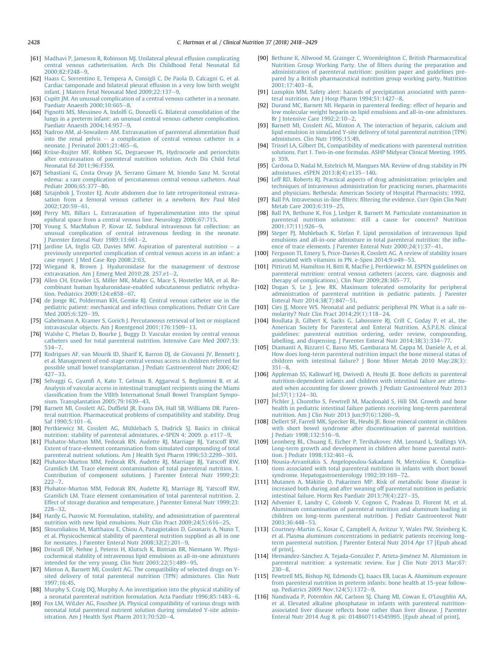- <span id="page-10-0"></span>[61] [Madhavi P, Jameson R, Robinson MJ. Unilateral pleural effusion complicating](http://refhub.elsevier.com/S0261-5614(18)31175-0/sref61) [central venous catheterisation. Arch Dis Childhood Fetal Neonatal Ed](http://refhub.elsevier.com/S0261-5614(18)31175-0/sref61) 2000:82:F248-[9](http://refhub.elsevier.com/S0261-5614(18)31175-0/sref61).
- [62] [Haass C, Sorrentino E, Tempera A, Consigli C, De Paola D, Calcagni G, et al.](http://refhub.elsevier.com/S0261-5614(18)31175-0/sref62) [Cardiac tamponade and bilateral pleural effusion in a very low birth weight](http://refhub.elsevier.com/S0261-5614(18)31175-0/sref62) [infant. J Matern Fetal Neonatal Med 2009;22:137](http://refhub.elsevier.com/S0261-5614(18)31175-0/sref62)-[9](http://refhub.elsevier.com/S0261-5614(18)31175-0/sref62).
- [63] [Cupitt JM. An unusual complication of a central venous catheter in a neonate.](http://refhub.elsevier.com/S0261-5614(18)31175-0/sref63) Paediatr Anaesth 2000:10:665-[8.](http://refhub.elsevier.com/S0261-5614(18)31175-0/sref63)
- [64] Pignotti MS, Messineo A, Indolfi [G, Donzelli G. Bilateral consolidation of the](http://refhub.elsevier.com/S0261-5614(18)31175-0/sref64) [lungs in a preterm infant: an unusual central venous catheter complication.](http://refhub.elsevier.com/S0261-5614(18)31175-0/sref64) Paediatr Anaesth  $2004:14:957-9$ .
- [65] [Nadroo AM, al-Sowailem AM. Extravasation of parenteral alimentation](http://refhub.elsevier.com/S0261-5614(18)31175-0/sref65) fluid [into the renal pelvis](http://refhub.elsevier.com/S0261-5614(18)31175-0/sref65)  $-$  [a complication of central venous catheter in a](http://refhub.elsevier.com/S0261-5614(18)31175-0/sref65) neonate. J Perinatol  $2001;21:465-6$ .
- [66] [Krüse-Ruijter MF, Robben SG, Degraeuwe PL. Hydrocoele and periorchitis](http://refhub.elsevier.com/S0261-5614(18)31175-0/sref66) [after extravasation of parenteral nutrition solution. Arch Dis Child Fetal](http://refhub.elsevier.com/S0261-5614(18)31175-0/sref66) [Neonatal Ed 2011;96:F359.](http://refhub.elsevier.com/S0261-5614(18)31175-0/sref66)
- [67] [Sebastiani G, Costa Orvay JA, Serrano Gimare M, Iriondo Sanz M. Scrotal](http://refhub.elsevier.com/S0261-5614(18)31175-0/sref67) [edema: a rare complication of percutaneous central venous catheters. Anal](http://refhub.elsevier.com/S0261-5614(18)31175-0/sref67) Pediatr  $2006:65:377-80$ .
- [68] [Sztajnbok J, Troster EJ. Acute abdomen due to late retroperitoneal extrava](http://refhub.elsevier.com/S0261-5614(18)31175-0/sref68)[sation from a femoral venous catheter in a newborn. Rev Paul Med](http://refhub.elsevier.com/S0261-5614(18)31175-0/sref68) 2002:120:59-[61.](http://refhub.elsevier.com/S0261-5614(18)31175-0/sref68)
- [69] [Perry MS, Billars L. Extravasation of hyperalimentation into the spinal](http://refhub.elsevier.com/S0261-5614(18)31175-0/sref69) [epidural space from a central venous line. Neurology 2006;67:715.](http://refhub.elsevier.com/S0261-5614(18)31175-0/sref69)
- [70] [Young S, MacMahon P, Kovar IZ. Subdural intravenous fat collection: an](http://refhub.elsevier.com/S0261-5614(18)31175-0/sref70) [unusual complication of central intravenous feeding in the neonate.](http://refhub.elsevier.com/S0261-5614(18)31175-0/sref70)<br>J Parenter Enteral Nutr 1989;13:661–[2](http://refhub.elsevier.com/S0261-5614(18)31175-0/sref70).
- [71] [Jardine LA, Inglis GD, Davies MW. Aspiration of parenteral nutrition](http://refhub.elsevier.com/S0261-5614(18)31175-0/sref71)  $-$  [a](http://refhub.elsevier.com/S0261-5614(18)31175-0/sref71) [previously unreported complication of central venous access in an infant: a](http://refhub.elsevier.com/S0261-5614(18)31175-0/sref71) [case report. J Med Case Rep 2008;2:63.](http://refhub.elsevier.com/S0261-5614(18)31175-0/sref71)
- [72] [Wiegand R, Brown J. Hyaluronidase for the management of dextrose](http://refhub.elsevier.com/S0261-5614(18)31175-0/sref72)  $extravasation.$  Am J Emerg Med [2](http://refhub.elsevier.com/S0261-5614(18)31175-0/sref72)010;28. 257.e1 $-2$ .
- [73] [Allen CH, Etzwiler LS, Miller MK, Maher G, Mace S, Hostetler MA, et al. Re](http://refhub.elsevier.com/S0261-5614(18)31175-0/sref73)[combinant human hyaluronidase-enabled subcutaneous pediatric rehydra](http://refhub.elsevier.com/S0261-5614(18)31175-0/sref73)[tion. Pediatrics 2009;124:e858](http://refhub.elsevier.com/S0261-5614(18)31175-0/sref73)-[67.](http://refhub.elsevier.com/S0261-5614(18)31175-0/sref73)
- [74] [de Jonge RC, Polderman KH, Gemke RJ. Central venous catheter use in the](http://refhub.elsevier.com/S0261-5614(18)31175-0/sref74) [pediatric patient: mechanical and infectious complications. Pediatr Crit Care](http://refhub.elsevier.com/S0261-5614(18)31175-0/sref74) [Med 2005;6:329](http://refhub.elsevier.com/S0261-5614(18)31175-0/sref74)-[39.](http://refhub.elsevier.com/S0261-5614(18)31175-0/sref74)
- [75] [Gabelmann A, Kramer S, Gorich J. Percutaneous retrieval of lost or misplaced](http://refhub.elsevier.com/S0261-5614(18)31175-0/sref75) [intravascular objects. Am J Roentgenol 2001;176:1509](http://refhub.elsevier.com/S0261-5614(18)31175-0/sref75)-[13.](http://refhub.elsevier.com/S0261-5614(18)31175-0/sref75)
- [76] [Walshe C, Phelan D, Bourke J, Buggy D. Vascular erosion by central venous](http://refhub.elsevier.com/S0261-5614(18)31175-0/sref76) [catheters used for total parenteral nutrition. Intensive Care Med 2007;33:](http://refhub.elsevier.com/S0261-5614(18)31175-0/sref76)  $534 - 7.$  $534 - 7.$  $534 - 7.$
- [77] [Rodrigues AF, van Mourik ID, Sharif K, Barron DJ, de Giovanni JV, Bennett J,](http://refhub.elsevier.com/S0261-5614(18)31175-0/sref77) [et al. Management of end-stage central venous access in children referred for](http://refhub.elsevier.com/S0261-5614(18)31175-0/sref77) [possible small bowel transplantation. J Pediatr Gastroenterol Nutr 2006;42:](http://refhub.elsevier.com/S0261-5614(18)31175-0/sref77)  $427 - 33$  $427 - 33$ .
- [78] Selvaggi G, Gyamfi [A, Kato T, Gelman B, Aggarwal S, Begliomini B, et al.](http://refhub.elsevier.com/S0261-5614(18)31175-0/sref78) [Analysis of vascular access in intestinal transplant recipients using the Miami](http://refhub.elsevier.com/S0261-5614(18)31175-0/sref78) classifi[cation from the VIIIth International Small Bowel Transplant Sympo](http://refhub.elsevier.com/S0261-5614(18)31175-0/sref78) $sium. Transplantation 2005;79:1639-43.$  $sium. Transplantation 2005;79:1639-43.$  $sium. Transplantation 2005;79:1639-43.$  $sium. Transplantation 2005;79:1639-43.$
- [79] Barnett MI, Cosslett AG, Duffi[eld JR, Evans DA, Hall SB, Williams DR. Paren](http://refhub.elsevier.com/S0261-5614(18)31175-0/sref79)[teral nutrition. Pharmaceutical problems of compatibility and stability. Drug](http://refhub.elsevier.com/S0261-5614(18)31175-0/sref79) Saf  $1990:5:101-6$  $1990:5:101-6$ .
- [80] [Pertkiewicz M, Cosslett AG, Mühlebach S, Dudrick SJ. Basics in clinical](http://refhub.elsevier.com/S0261-5614(18)31175-0/sref80) [nutrition: stability of parenteral admixtures. e-SPEN 4; 2009. p. e117](http://refhub.elsevier.com/S0261-5614(18)31175-0/sref80)-[9.](http://refhub.elsevier.com/S0261-5614(18)31175-0/sref80)
- [81] [Pluhator-Murton MM, Fedorak RN, Audette RJ, Marriage BJ, Yatscoff RW.](http://refhub.elsevier.com/S0261-5614(18)31175-0/sref81) [Extent of trace-element contamination from simulated compounding of total](http://refhub.elsevier.com/S0261-5614(18)31175-0/sref81) [parenteral nutrient solutions. Am J Health Syst Pharm 1996;53:2299](http://refhub.elsevier.com/S0261-5614(18)31175-0/sref81)-[303](http://refhub.elsevier.com/S0261-5614(18)31175-0/sref81).
- [82] [Pluhator-Murton MM, Fedorak RN, Audette RJ, Marriage BJ, Yatscoff RW,](http://refhub.elsevier.com/S0261-5614(18)31175-0/sref82) [Gramlich LM. Trace element contamination of total parenteral nutrition. 1.](http://refhub.elsevier.com/S0261-5614(18)31175-0/sref82) [Contribution of component solutions. J Parenter Enteral Nutr 1999;23:](http://refhub.elsevier.com/S0261-5614(18)31175-0/sref82)  $222 - 7.$  $222 - 7.$  $222 - 7.$
- [83] [Pluhator-Murton MM, Fedorak RN, Audette RJ, Marriage BJ, Yatscoff RW,](http://refhub.elsevier.com/S0261-5614(18)31175-0/sref83) [Gramlich LM. Trace element contamination of total parenteral nutrition. 2.](http://refhub.elsevier.com/S0261-5614(18)31175-0/sref83) [Effect of storage duration and temperature. J Parenter Enteral Nutr 1999;23:](http://refhub.elsevier.com/S0261-5614(18)31175-0/sref83)  $228 - 32.$  $228 - 32.$  $228 - 32.$
- [84] [Hardy G, Puzovic M. Formulation, stability, and administration of parenteral](http://refhub.elsevier.com/S0261-5614(18)31175-0/sref84) [nutrition with new lipid emulsions. Nutr Clin Pract 2009;24\(5\):616](http://refhub.elsevier.com/S0261-5614(18)31175-0/sref84)-[25.](http://refhub.elsevier.com/S0261-5614(18)31175-0/sref84)
- [85] [Skouroliakou M, Matthaiou E, Chiou A, Panagiotakos D, Gounaris A, Nunn T,](http://refhub.elsevier.com/S0261-5614(18)31175-0/sref85) [et al. Physicochemical stability of parenteral nutrition supplied as all in one](http://refhub.elsevier.com/S0261-5614(18)31175-0/sref85) [for neonates. J Parenter Enteral Nutr 2008;32\(2\):201](http://refhub.elsevier.com/S0261-5614(18)31175-0/sref85)-[9.](http://refhub.elsevier.com/S0261-5614(18)31175-0/sref85)
- [86] [Driscoll DF, Nehne J, Peterss H, Klutsch K, Bistrian BR, Niemann W. Physi](http://refhub.elsevier.com/S0261-5614(18)31175-0/sref86)[cochemical stability of intravenous lipid emulsions as all-in-one admixtures](http://refhub.elsevier.com/S0261-5614(18)31175-0/sref86) intended for the very young. Clin Nutr  $2003;22(5):489-95$ .
- [87] [Minton A, Barnett MI, Cosslett AG. The compatibility of selected drugs on Y](http://refhub.elsevier.com/S0261-5614(18)31175-0/sref87)[sited delivery of total parenteral nutrition \(TPN\) admixtures. Clin Nutr](http://refhub.elsevier.com/S0261-5614(18)31175-0/sref87) [1997;16:45.](http://refhub.elsevier.com/S0261-5614(18)31175-0/sref87)
- [88] [Murphy S, Craig DQ, Murphy A. An investigation into the physical stability of](http://refhub.elsevier.com/S0261-5614(18)31175-0/sref88) [a neonatal parenteral nutrition formulation. Acta Paediatr 1996;85:1483](http://refhub.elsevier.com/S0261-5614(18)31175-0/sref88)-[6](http://refhub.elsevier.com/S0261-5614(18)31175-0/sref88).
- [89] [Fox LM, WiLder AG, Foushee JA. Physical compatibility of various drugs with](http://refhub.elsevier.com/S0261-5614(18)31175-0/sref89) [neonatal total parenteral nutrient solution during simulated Y-site admin](http://refhub.elsevier.com/S0261-5614(18)31175-0/sref89)istration. Am I Health Syst Pharm  $2013:70:520-4$  $2013:70:520-4$ .
- [90] [Bethune K, Allwood M, Grainger C, Wormleighton C, British Pharmaceutical](http://refhub.elsevier.com/S0261-5614(18)31175-0/sref90) [Nutrition Group Working Party. Use of](http://refhub.elsevier.com/S0261-5614(18)31175-0/sref90) filters during the preparation and [administration of parenteral nutrition: position paper and guidelines pre](http://refhub.elsevier.com/S0261-5614(18)31175-0/sref90)[pared by a British pharmaceutical nutrition group working party. Nutrition](http://refhub.elsevier.com/S0261-5614(18)31175-0/sref90)  $2001;17:403-8$  $2001;17:403-8$  $2001;17:403-8$
- [91] [Lumpkin MM. Safety alert: hazards of precipitation associated with paren](http://refhub.elsevier.com/S0261-5614(18)31175-0/sref91)teral nutrition. Am J Hosp Pharm  $1994:51:1427-8$  $1994:51:1427-8$ .
- [92] [Durand MC, Barnett MI. Heparin in parenteral feeding: effect of heparin and](http://refhub.elsevier.com/S0261-5614(18)31175-0/sref92) [low molecular weight heparin on lipid emulsions and all-in-one admixtures.](http://refhub.elsevier.com/S0261-5614(18)31175-0/sref92) Br J Intensive Care  $1992;2:10-2$  $1992;2:10-2$  $1992;2:10-2$ .
- [93] [Barnett MI, Cosslett AG, Minton A. The interaction of heparin, calcium and](http://refhub.elsevier.com/S0261-5614(18)31175-0/sref93) [lipid emulsion in simulated Y-site delivery of total parenteral nutrition \(TPN\)](http://refhub.elsevier.com/S0261-5614(18)31175-0/sref93) [admixtures. Clin Nutr 1996;15:49.](http://refhub.elsevier.com/S0261-5614(18)31175-0/sref93)
- [94] [Trissel LA, Gilbert DL. Compatibility of medications with parenteral nutrition](http://refhub.elsevier.com/S0261-5614(18)31175-0/sref94) [solutions. Part 1. Two-in-one formulas. ASHP Midyear Clinical Meeting. 1995.](http://refhub.elsevier.com/S0261-5614(18)31175-0/sref94) [p. 359.](http://refhub.elsevier.com/S0261-5614(18)31175-0/sref94)
- [95] [Cardona D, Nadal M, Estelrich M, Mangues MA. Review of drug stability in PN](http://refhub.elsevier.com/S0261-5614(18)31175-0/sref95) admixtures. eSPEN 2013:8(4):e135-[140.](http://refhub.elsevier.com/S0261-5614(18)31175-0/sref95)
- [96] [Leff RD, Roberts RJ. Practical aspects of drug administration: principles and](http://refhub.elsevier.com/S0261-5614(18)31175-0/sref96) [techniques of intravenous administration for practicing nurses, pharmacists](http://refhub.elsevier.com/S0261-5614(18)31175-0/sref96) [and physicians. Bethesda: American Society of Hospital Pharmacists; 1992](http://refhub.elsevier.com/S0261-5614(18)31175-0/sref96).
- [97] Ball PA. Intravenous in-line filters: fi[ltering the evidence. Curr Opin Clin Nutr](http://refhub.elsevier.com/S0261-5614(18)31175-0/sref97) Metab Care 2003:6:319-[25](http://refhub.elsevier.com/S0261-5614(18)31175-0/sref97).
- [98] [Ball PA, Bethune K, Fox J, Ledger R, Barnett M. Particulate contamination in](http://refhub.elsevier.com/S0261-5614(18)31175-0/sref98) [parenteral nutrition solutions: still a cause for concern? Nutrition](http://refhub.elsevier.com/S0261-5614(18)31175-0/sref98)  $2001:17(11):926-9$
- [99] [Steger PJ, Muhlebach K, Stefan F. Lipid peroxidation of intravenous lipid](http://refhub.elsevier.com/S0261-5614(18)31175-0/sref99) [emulsions and all-in-one admixture in total parenteral nutrition: the in](http://refhub.elsevier.com/S0261-5614(18)31175-0/sref99)flu[ence of trace elements. J Parenter Enteral Nutr 2000;24\(1\):37](http://refhub.elsevier.com/S0261-5614(18)31175-0/sref99)-[41.](http://refhub.elsevier.com/S0261-5614(18)31175-0/sref99)
- [100] [Ferguson TI, Emery S, Price-Davies R, Cosslett AG. A review of stability issues](http://refhub.elsevier.com/S0261-5614(18)31175-0/sref100) [associated with vitamins in PN. e-Spen 2014;9:e49](http://refhub.elsevier.com/S0261-5614(18)31175-0/sref100)-[53.](http://refhub.elsevier.com/S0261-5614(18)31175-0/sref100)
- [101] [Pittiruti M, Hamilton H, Bitti R, MacFie J, Pertkiewicz M. ESPEN guidelines on](http://refhub.elsevier.com/S0261-5614(18)31175-0/sref101) [parenteral nutrition: central venous catheters \(access, care, diagnosis and](http://refhub.elsevier.com/S0261-5614(18)31175-0/sref101) [therapy of complications\). Clin Nutr 2009;28:365](http://refhub.elsevier.com/S0261-5614(18)31175-0/sref101)-[77](http://refhub.elsevier.com/S0261-5614(18)31175-0/sref101).
- [102] [Dugan S, Le J, Jew RK. Maximum tolerated osmolarity for peripheral](http://refhub.elsevier.com/S0261-5614(18)31175-0/sref102) [administration of parenteral nutrition in pediatric patients. J Parenter](http://refhub.elsevier.com/S0261-5614(18)31175-0/sref102) [Enteral Nutr 2014;38\(7\):847](http://refhub.elsevier.com/S0261-5614(18)31175-0/sref102)-[51.](http://refhub.elsevier.com/S0261-5614(18)31175-0/sref102)
- [103] [Cies JJ, Moore WS. Neonatal and pediatric peripheral PN. What is a safe os](http://refhub.elsevier.com/S0261-5614(18)31175-0/sref103)[molarity? Nutr Clin Pract 2014;29\(1\):118](http://refhub.elsevier.com/S0261-5614(18)31175-0/sref103)-[24.](http://refhub.elsevier.com/S0261-5614(18)31175-0/sref103)
- [104] [Boullata JI, Gilbert K, Sacks G, Labossiere RJ, Crill C, Goday P, et al., the](http://refhub.elsevier.com/S0261-5614(18)31175-0/sref104) [American Society for Parenteral and Enteral Nutrition. A.S.P.E.N. clinical](http://refhub.elsevier.com/S0261-5614(18)31175-0/sref104) [guidelines: parenteral nutrition ordering, order review, compounding,](http://refhub.elsevier.com/S0261-5614(18)31175-0/sref104) [labelling, and dispensing. J Parenter Enteral Nutr 2014;38\(3\):334](http://refhub.elsevier.com/S0261-5614(18)31175-0/sref104)-[77](http://refhub.elsevier.com/S0261-5614(18)31175-0/sref104).
- [105] [Diamanti A, Bizzarri C, Basso MS, Gambarara M, Cappa M, Daniele A, et al.](http://refhub.elsevier.com/S0261-5614(18)31175-0/sref105) [How does long-term parenteral nutrition impact the bone mineral status of](http://refhub.elsevier.com/S0261-5614(18)31175-0/sref105) [children with intestinal failure? J Bone Miner Metab 2010 May;28\(3\):](http://refhub.elsevier.com/S0261-5614(18)31175-0/sref105)  $351 - 8$  $351 - 8$  $351 - 8$
- [106] [Appleman SS, Kalkwarf HJ, Dwivedi A, Heubi JE. Bone de](http://refhub.elsevier.com/S0261-5614(18)31175-0/sref106)ficits in parenteral [nutrition-dependent infants and children with intestinal failure are attenu](http://refhub.elsevier.com/S0261-5614(18)31175-0/sref106)[ated when accounting for slower growth. J Pediatr Gastroenterol Nutr 2013](http://refhub.elsevier.com/S0261-5614(18)31175-0/sref106) [Jul;57\(1\):124](http://refhub.elsevier.com/S0261-5614(18)31175-0/sref106)-[30](http://refhub.elsevier.com/S0261-5614(18)31175-0/sref106).
- [107] [Pichler J, Chomtho S, Fewtrell M, Macdonald S, Hill SM. Growth and bone](http://refhub.elsevier.com/S0261-5614(18)31175-0/sref107) [health in pediatric intestinal failure patients receiving long-term parenteral](http://refhub.elsevier.com/S0261-5614(18)31175-0/sref107) nutrition. Am J Clin Nutr 2013 Jun; 97(6): 1260-[9.](http://refhub.elsevier.com/S0261-5614(18)31175-0/sref107)
- [108] [Dellert SF, Farrell MK, Specker BL, Heubi JE. Bone mineral content in children](http://refhub.elsevier.com/S0261-5614(18)31175-0/sref108) [with short bowel syndrome after discontinuation of parental nutrition.](http://refhub.elsevier.com/S0261-5614(18)31175-0/sref108) Pediatr 1[9](http://refhub.elsevier.com/S0261-5614(18)31175-0/sref108)98;132:516-9.
- [109] [Leonberg BL, Chuang E, Eicher P, Tershakovec AM, Leonard L, Stallings VA.](http://refhub.elsevier.com/S0261-5614(18)31175-0/sref109) [Long-term growth and development in children after home parental nutri](http://refhub.elsevier.com/S0261-5614(18)31175-0/sref109)tion. I Pediatr  $1998:132:461-6$ .
- [110] [Nousia-Arvanitakis S, Angelopoulou-Sakadami N, Metroliou K. Complica](http://refhub.elsevier.com/S0261-5614(18)31175-0/sref110)[tions associated with total parenteral nutrition in infants with short bowel](http://refhub.elsevier.com/S0261-5614(18)31175-0/sref110) [syndrome. Hepatogastroenterology 1992;39:169](http://refhub.elsevier.com/S0261-5614(18)31175-0/sref110)-[72.](http://refhub.elsevier.com/S0261-5614(18)31175-0/sref110)
- [111] Mutanen A, Mäkitie O, Pakarinen MP. Risk of metabolic bone disease is [increased both during and after weaning off parenteral nutrition in pediatric](http://refhub.elsevier.com/S0261-5614(18)31175-0/sref111) [intestinal failure. Horm Res Paediatr 2013;79\(4\):227](http://refhub.elsevier.com/S0261-5614(18)31175-0/sref111)-[35.](http://refhub.elsevier.com/S0261-5614(18)31175-0/sref111)
- [112] [Advenier E, Landry C, Colomb V, Cognon C, Pradeau D, Florent M, et al.](http://refhub.elsevier.com/S0261-5614(18)31175-0/sref112) [Aluminum contamination of parenteral nutrition and aluminum loading in](http://refhub.elsevier.com/S0261-5614(18)31175-0/sref112) [children on long-term parenteral nutrition. J Pediatr Gastroenterol Nutr](http://refhub.elsevier.com/S0261-5614(18)31175-0/sref112) 2003:36:448-[53](http://refhub.elsevier.com/S0261-5614(18)31175-0/sref112).
- [113] [Courtney-Martin G, Kosar C, Campbell A, Avitzur Y, Wales PW, Steinberg K,](http://refhub.elsevier.com/S0261-5614(18)31175-0/sref113) [et al. Plasma aluminum concentrations in pediatric patients receiving long](http://refhub.elsevier.com/S0261-5614(18)31175-0/sref113)[term parenteral nutrition. J Parenter Enteral Nutr 2014 Apr 17 \[Epub ahead](http://refhub.elsevier.com/S0261-5614(18)31175-0/sref113) [of print\]](http://refhub.elsevier.com/S0261-5614(18)31175-0/sref113).
- [114] Hernández-Sánchez A, Tejada-González P, Arteta-Jimé[nez M. Aluminium in](http://refhub.elsevier.com/S0261-5614(18)31175-0/sref114) [parenteral nutrition: a systematic review. Eur J Clin Nutr 2013 Mar;67:](http://refhub.elsevier.com/S0261-5614(18)31175-0/sref114)  $230 - 8$  $230 - 8$  $230 - 8$ .
- [115] [Fewtrell MS, Bishop NJ, Edmonds CJ, Isaacs EB, Lucas A. Aluminum exposure](http://refhub.elsevier.com/S0261-5614(18)31175-0/sref115) [from parenteral nutrition in preterm infants: bone health at 15-year follow-](http://refhub.elsevier.com/S0261-5614(18)31175-0/sref115)up. Pediatrics 200[9](http://refhub.elsevier.com/S0261-5614(18)31175-0/sref115) Nov;  $124(5)$ : 1372-9.
- [116] [Nandivada P, Potemkin AK, Carlson SJ, Chang MI, Cowan E, O'Loughlin AA,](http://refhub.elsevier.com/S0261-5614(18)31175-0/sref116) [et al. Elevated alkaline phosphatase in infants with parenteral nutrition](http://refhub.elsevier.com/S0261-5614(18)31175-0/sref116)associated liver disease refl[ects bone rather than liver disease. J Parenter](http://refhub.elsevier.com/S0261-5614(18)31175-0/sref116) [Enteral Nutr 2014 Aug 8. pii: 0148607114545995. \[Epub ahead of print\]](http://refhub.elsevier.com/S0261-5614(18)31175-0/sref116).